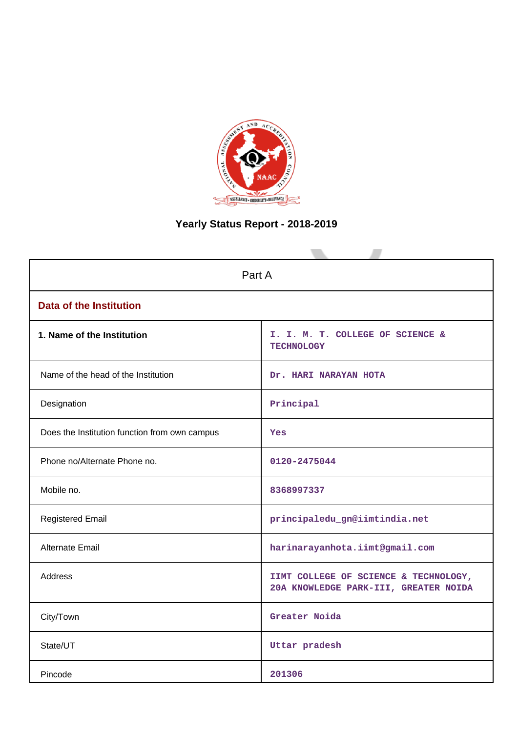

# **Yearly Status Report - 2018-2019**

| Part A                                        |                                                                                |  |  |  |
|-----------------------------------------------|--------------------------------------------------------------------------------|--|--|--|
| <b>Data of the Institution</b>                |                                                                                |  |  |  |
| 1. Name of the Institution                    | I. I. M. T. COLLEGE OF SCIENCE &<br><b>TECHNOLOGY</b>                          |  |  |  |
| Name of the head of the Institution           | Dr. HARI NARAYAN HOTA                                                          |  |  |  |
| Designation                                   | Principal                                                                      |  |  |  |
| Does the Institution function from own campus | Yes                                                                            |  |  |  |
| Phone no/Alternate Phone no.                  | 0120-2475044                                                                   |  |  |  |
| Mobile no.                                    | 8368997337                                                                     |  |  |  |
| <b>Registered Email</b>                       | principaledu_gn@iimtindia.net                                                  |  |  |  |
| Alternate Email                               | harinarayanhota.iimt@gmail.com                                                 |  |  |  |
| <b>Address</b>                                | IIMT COLLEGE OF SCIENCE & TECHNOLOGY,<br>20A KNOWLEDGE PARK-III, GREATER NOIDA |  |  |  |
| City/Town                                     | Greater Noida                                                                  |  |  |  |
| State/UT                                      | Uttar pradesh                                                                  |  |  |  |
| Pincode                                       | 201306                                                                         |  |  |  |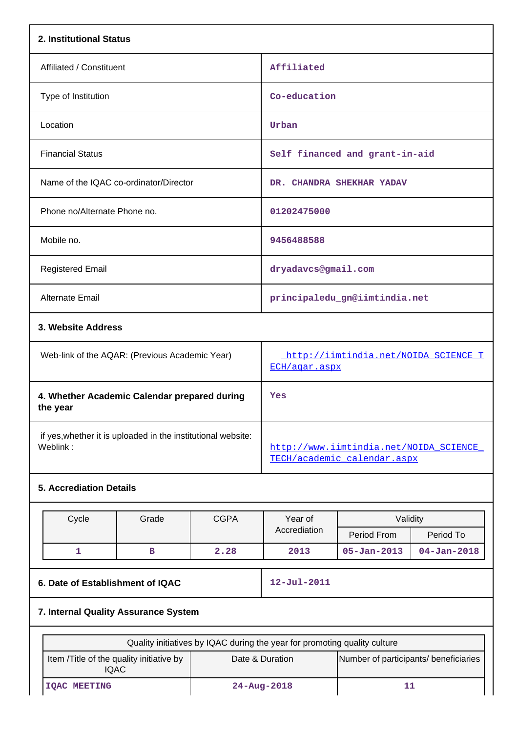| 2. Institutional Status                                                  |                                                         |             |                                                                           |                                                       |                                |  |  |
|--------------------------------------------------------------------------|---------------------------------------------------------|-------------|---------------------------------------------------------------------------|-------------------------------------------------------|--------------------------------|--|--|
| Affiliated / Constituent                                                 |                                                         |             | Affiliated                                                                |                                                       |                                |  |  |
| Type of Institution                                                      |                                                         |             | Co-education                                                              |                                                       |                                |  |  |
| Location                                                                 |                                                         |             | Urban                                                                     |                                                       |                                |  |  |
| <b>Financial Status</b>                                                  |                                                         |             |                                                                           | Self financed and grant-in-aid                        |                                |  |  |
|                                                                          | Name of the IQAC co-ordinator/Director                  |             |                                                                           | DR. CHANDRA SHEKHAR YADAV                             |                                |  |  |
| Phone no/Alternate Phone no.                                             |                                                         |             | 01202475000                                                               |                                                       |                                |  |  |
| Mobile no.                                                               |                                                         |             | 9456488588                                                                |                                                       |                                |  |  |
| <b>Registered Email</b>                                                  |                                                         |             | dryadavcs@gmail.com                                                       |                                                       |                                |  |  |
| <b>Alternate Email</b>                                                   |                                                         |             |                                                                           | principaledu_gn@iimtindia.net                         |                                |  |  |
| 3. Website Address                                                       |                                                         |             |                                                                           |                                                       |                                |  |  |
|                                                                          | Web-link of the AQAR: (Previous Academic Year)          |             |                                                                           | http://iimtindia.net/NOIDA_SCIENCE_T<br>ECH/aqar.aspx |                                |  |  |
| 4. Whether Academic Calendar prepared during<br>the year                 |                                                         |             | Yes                                                                       |                                                       |                                |  |  |
| if yes, whether it is uploaded in the institutional website:<br>Weblink: |                                                         |             | http://www.iimtindia.net/NOIDA SCIENCE<br>TECH/academic calendar.aspx     |                                                       |                                |  |  |
| <b>5. Accrediation Details</b>                                           |                                                         |             |                                                                           |                                                       |                                |  |  |
| Cycle                                                                    | Grade                                                   | <b>CGPA</b> | Year of<br>Accrediation                                                   | Validity                                              |                                |  |  |
| 1                                                                        | в                                                       | 2.28        | 2013                                                                      | Period From<br>$05 - Jan - 2013$                      | Period To<br>$04 - Jan - 2018$ |  |  |
|                                                                          |                                                         |             |                                                                           |                                                       |                                |  |  |
| 6. Date of Establishment of IQAC                                         |                                                         |             | $12 - Jul - 2011$                                                         |                                                       |                                |  |  |
| 7. Internal Quality Assurance System                                     |                                                         |             |                                                                           |                                                       |                                |  |  |
|                                                                          |                                                         |             | Quality initiatives by IQAC during the year for promoting quality culture |                                                       |                                |  |  |
|                                                                          | Item /Title of the quality initiative by<br><b>IQAC</b> |             | Date & Duration<br>Number of participants/ beneficiaries                  |                                                       |                                |  |  |
| <b>IQAC MEETING</b>                                                      |                                                         |             |                                                                           |                                                       | $24 - Aug - 2018$<br>11        |  |  |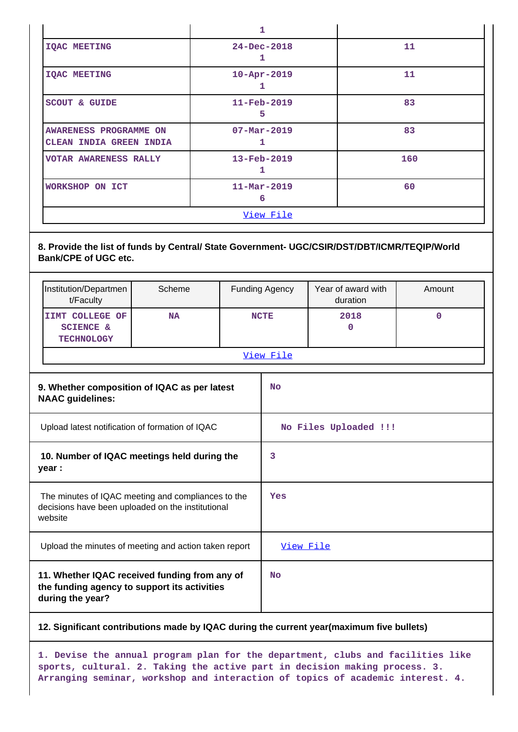|                                                   | 1                             |     |  |  |  |
|---------------------------------------------------|-------------------------------|-----|--|--|--|
| <b>IQAC MEETING</b>                               | $24 - Dec - 2018$<br>1        | 11  |  |  |  |
| <b>IQAC MEETING</b>                               | $10 - Apr - 2019$<br>1        | 11  |  |  |  |
| <b>SCOUT &amp; GUIDE</b>                          | $11 - \text{Feb} - 2019$<br>5 | 83  |  |  |  |
| AWARENESS PROGRAMME ON<br>CLEAN INDIA GREEN INDIA | $07 - \text{Mar} - 2019$<br>1 | 83  |  |  |  |
| <b>VOTAR AWARENESS RALLY</b>                      | $13 - Feb - 2019$<br>1        | 160 |  |  |  |
| WORKSHOP ON ICT                                   | $11 - \text{Mar} - 2019$<br>6 | 60  |  |  |  |
| View File                                         |                               |     |  |  |  |

# **8. Provide the list of funds by Central/ State Government- UGC/CSIR/DST/DBT/ICMR/TEQIP/World Bank/CPE of UGC etc.**

|                                                                                                                    | Institution/Departmen<br>t/Faculty                                                                                | Scheme    |           | <b>Funding Agency</b> | Year of award with<br>duration | Amount      |
|--------------------------------------------------------------------------------------------------------------------|-------------------------------------------------------------------------------------------------------------------|-----------|-----------|-----------------------|--------------------------------|-------------|
|                                                                                                                    | IIMT COLLEGE OF<br><b>SCIENCE &amp;</b><br><b>TECHNOLOGY</b>                                                      | <b>NA</b> |           | <b>NCTE</b>           | 2018<br>0                      | $\mathbf 0$ |
|                                                                                                                    |                                                                                                                   |           |           | View File             |                                |             |
|                                                                                                                    | 9. Whether composition of IQAC as per latest<br><b>NAAC</b> guidelines:                                           |           |           | <b>No</b>             |                                |             |
| Upload latest notification of formation of IQAC                                                                    |                                                                                                                   |           |           | No Files Uploaded !!! |                                |             |
| 10. Number of IQAC meetings held during the<br>year :                                                              |                                                                                                                   |           | 3         |                       |                                |             |
| The minutes of IQAC meeting and compliances to the<br>decisions have been uploaded on the institutional<br>website |                                                                                                                   |           |           | Yes                   |                                |             |
| Upload the minutes of meeting and action taken report                                                              |                                                                                                                   |           | View File |                       |                                |             |
|                                                                                                                    | 11. Whether IQAC received funding from any of<br>the funding agency to support its activities<br>during the year? |           |           |                       |                                |             |

## **12. Significant contributions made by IQAC during the current year(maximum five bullets)**

**1. Devise the annual program plan for the department, clubs and facilities like sports, cultural. 2. Taking the active part in decision making process. 3. Arranging seminar, workshop and interaction of topics of academic interest. 4.**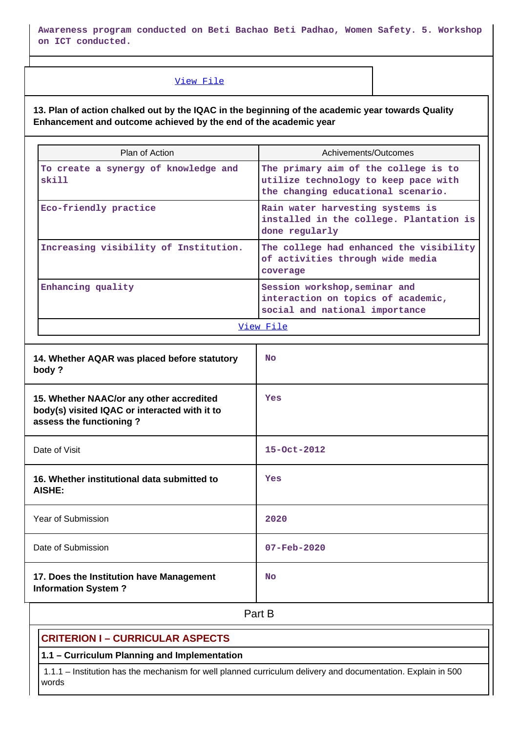**Awareness program conducted on Beti Bachao Beti Padhao, Women Safety. 5. Workshop on ICT conducted.**

#### [View File](https://assessmentonline.naac.gov.in/public/Postacc/Contribution/4536_Contribution.xlsx)

**13. Plan of action chalked out by the IQAC in the beginning of the academic year towards Quality Enhancement and outcome achieved by the end of the academic year**

| Plan of Action                                | Achivements/Outcomes                                                                                               |  |  |  |
|-----------------------------------------------|--------------------------------------------------------------------------------------------------------------------|--|--|--|
| To create a synergy of knowledge and<br>skill | The primary aim of the college is to<br>utilize technology to keep pace with<br>the changing educational scenario. |  |  |  |
| Eco-friendly practice                         | Rain water harvesting systems is<br>installed in the college. Plantation is<br>done regularly                      |  |  |  |
| Increasing visibility of Institution.         | The college had enhanced the visibility<br>of activities through wide media<br>coverage                            |  |  |  |
| Enhancing quality                             | Session workshop, seminar and<br>interaction on topics of academic,<br>social and national importance              |  |  |  |
| View File                                     |                                                                                                                    |  |  |  |

| 14. Whether AQAR was placed before statutory<br>body?                                                                | <b>No</b>                |
|----------------------------------------------------------------------------------------------------------------------|--------------------------|
| 15. Whether NAAC/or any other accredited<br>body(s) visited IQAC or interacted with it to<br>assess the functioning? | Yes                      |
| Date of Visit                                                                                                        | $15 - Oct - 2012$        |
| 16. Whether institutional data submitted to<br><b>AISHE:</b>                                                         | Yes                      |
| Year of Submission                                                                                                   | 2020                     |
| Date of Submission                                                                                                   | $07 - \text{Feb} - 2020$ |
| 17. Does the Institution have Management<br><b>Information System?</b>                                               | <b>No</b>                |

# **Part B**

# **CRITERION I – CURRICULAR ASPECTS**

# **1.1 – Curriculum Planning and Implementation**

 1.1.1 – Institution has the mechanism for well planned curriculum delivery and documentation. Explain in 500 words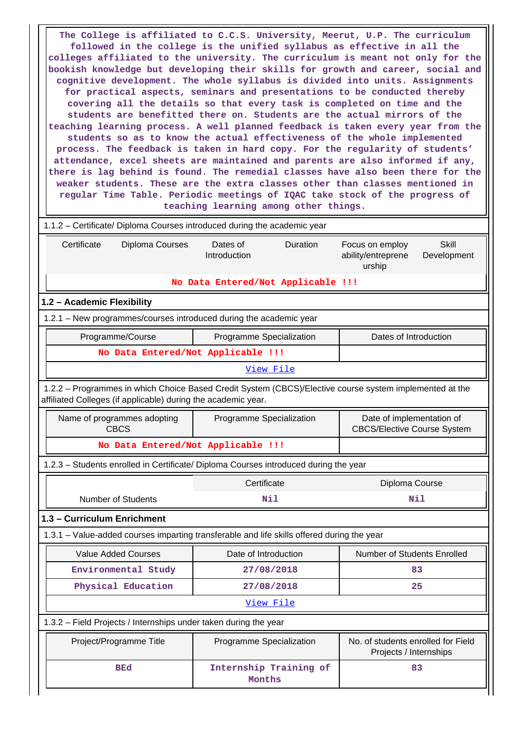**The College is affiliated to C.C.S. University, Meerut, U.P. The curriculum followed in the college is the unified syllabus as effective in all the colleges affiliated to the university. The curriculum is meant not only for the bookish knowledge but developing their skills for growth and career, social and cognitive development. The whole syllabus is divided into units. Assignments for practical aspects, seminars and presentations to be conducted thereby covering all the details so that every task is completed on time and the students are benefitted there on. Students are the actual mirrors of the teaching learning process. A well planned feedback is taken every year from the students so as to know the actual effectiveness of the whole implemented process. The feedback is taken in hard copy. For the regularity of students' attendance, excel sheets are maintained and parents are also informed if any, there is lag behind is found. The remedial classes have also been there for the weaker students. These are the extra classes other than classes mentioned in regular Time Table. Periodic meetings of IQAC take stock of the progress of teaching learning among other things.** 1.1.2 – Certificate/ Diploma Courses introduced during the academic year Certificate Diploma Courses Dates of Introduction Duration Focus on employ ability/entreprene urship **Skill** Development **No Data Entered/Not Applicable !!! 1.2 – Academic Flexibility** 1.2.1 – New programmes/courses introduced during the academic year Programme/Course **Programme Specialization** Programme Specialization **Programme** Dates of Introduction **No Data Entered/Not Applicable !!!** [View File](https://assessmentonline.naac.gov.in/public/Postacc/Program_introduced/4536_Program_introduced_1584614774.xlsx) 1.2.2 – Programmes in which Choice Based Credit System (CBCS)/Elective course system implemented at the affiliated Colleges (if applicable) during the academic year. Name of programmes adopting CBCS Programme Specialization | Date of implementation of CBCS/Elective Course System **No Data Entered/Not Applicable !!!** 1.2.3 – Students enrolled in Certificate/ Diploma Courses introduced during the year Certificate Diploma Course Number of Students **Nil Nil 1.3 – Curriculum Enrichment** 1.3.1 – Value-added courses imparting transferable and life skills offered during the year Value Added Courses **Number 1** Date of Introduction Number of Students Enrolled  **Environmental Study 27/08/2018 83 Physical Education 27/08/2018 25** [View File](https://assessmentonline.naac.gov.in/public/Postacc/Value_added_courses/4536_Value_added_courses_1583655965.xlsx) 1.3.2 – Field Projects / Internships under taken during the year Project/Programme Title Programme Specialization No. of students enrolled for Field Projects / Internships  **BEd Internship Training of Months 83**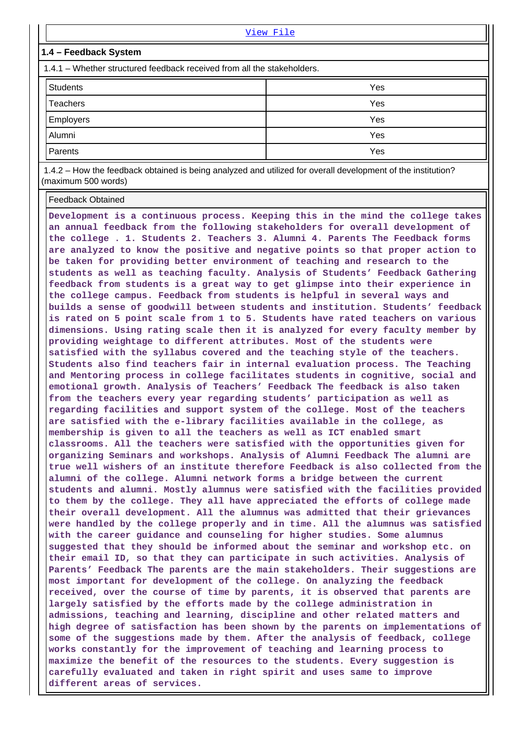|                                                                         | View File |  |  |  |  |  |
|-------------------------------------------------------------------------|-----------|--|--|--|--|--|
| 1.4 – Feedback System                                                   |           |  |  |  |  |  |
| 1.4.1 – Whether structured feedback received from all the stakeholders. |           |  |  |  |  |  |
| <b>Students</b>                                                         | Yes       |  |  |  |  |  |
| Teachers                                                                | Yes       |  |  |  |  |  |
| Employers                                                               | Yes       |  |  |  |  |  |
| Alumni                                                                  | Yes       |  |  |  |  |  |
| Parents                                                                 | Yes       |  |  |  |  |  |
| .<br>.                                                                  |           |  |  |  |  |  |

 1.4.2 – How the feedback obtained is being analyzed and utilized for overall development of the institution? (maximum 500 words)

Feedback Obtained

**Development is a continuous process. Keeping this in the mind the college takes an annual feedback from the following stakeholders for overall development of the college . 1. Students 2. Teachers 3. Alumni 4. Parents The Feedback forms are analyzed to know the positive and negative points so that proper action to be taken for providing better environment of teaching and research to the students as well as teaching faculty. Analysis of Students' Feedback Gathering feedback from students is a great way to get glimpse into their experience in the college campus. Feedback from students is helpful in several ways and builds a sense of goodwill between students and institution. Students' feedback is rated on 5 point scale from 1 to 5. Students have rated teachers on various dimensions. Using rating scale then it is analyzed for every faculty member by providing weightage to different attributes. Most of the students were satisfied with the syllabus covered and the teaching style of the teachers. Students also find teachers fair in internal evaluation process. The Teaching and Mentoring process in college facilitates students in cognitive, social and emotional growth. Analysis of Teachers' Feedback The feedback is also taken from the teachers every year regarding students' participation as well as regarding facilities and support system of the college. Most of the teachers are satisfied with the e-library facilities available in the college, as membership is given to all the teachers as well as ICT enabled smart classrooms. All the teachers were satisfied with the opportunities given for organizing Seminars and workshops. Analysis of Alumni Feedback The alumni are true well wishers of an institute therefore Feedback is also collected from the alumni of the college. Alumni network forms a bridge between the current students and alumni. Mostly alumnus were satisfied with the facilities provided to them by the college. They all have appreciated the efforts of college made their overall development. All the alumnus was admitted that their grievances were handled by the college properly and in time. All the alumnus was satisfied with the career guidance and counseling for higher studies. Some alumnus suggested that they should be informed about the seminar and workshop etc. on their email ID, so that they can participate in such activities. Analysis of Parents' Feedback The parents are the main stakeholders. Their suggestions are most important for development of the college. On analyzing the feedback received, over the course of time by parents, it is observed that parents are largely satisfied by the efforts made by the college administration in admissions, teaching and learning, discipline and other related matters and high degree of satisfaction has been shown by the parents on implementations of some of the suggestions made by them. After the analysis of feedback, college works constantly for the improvement of teaching and learning process to maximize the benefit of the resources to the students. Every suggestion is carefully evaluated and taken in right spirit and uses same to improve different areas of services.**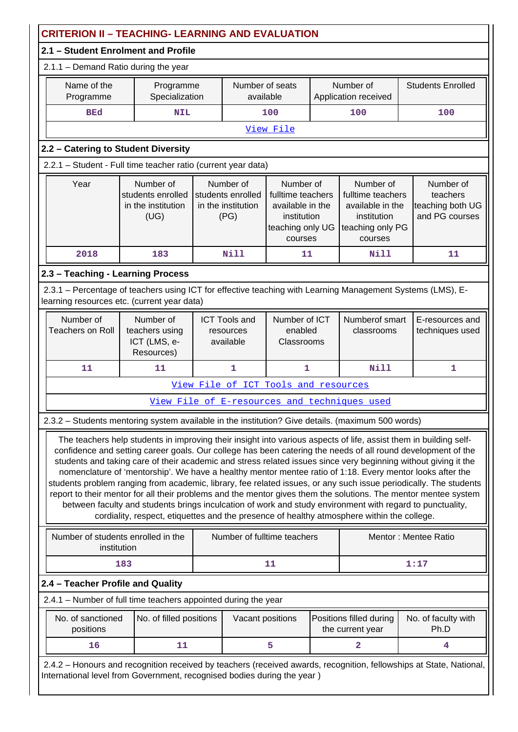| <b>CRITERION II - TEACHING- LEARNING AND EVALUATION</b>                                                                                                                                                                                                                                                                                                                                                                                                                                                                                                                                                                                                                                                                                                                                                                                                                                                              |                                                              |  |                                                              |                                                                                                  |  |                                                                                                  |                                                                                                                     |
|----------------------------------------------------------------------------------------------------------------------------------------------------------------------------------------------------------------------------------------------------------------------------------------------------------------------------------------------------------------------------------------------------------------------------------------------------------------------------------------------------------------------------------------------------------------------------------------------------------------------------------------------------------------------------------------------------------------------------------------------------------------------------------------------------------------------------------------------------------------------------------------------------------------------|--------------------------------------------------------------|--|--------------------------------------------------------------|--------------------------------------------------------------------------------------------------|--|--------------------------------------------------------------------------------------------------|---------------------------------------------------------------------------------------------------------------------|
| 2.1 - Student Enrolment and Profile                                                                                                                                                                                                                                                                                                                                                                                                                                                                                                                                                                                                                                                                                                                                                                                                                                                                                  |                                                              |  |                                                              |                                                                                                  |  |                                                                                                  |                                                                                                                     |
| 2.1.1 - Demand Ratio during the year                                                                                                                                                                                                                                                                                                                                                                                                                                                                                                                                                                                                                                                                                                                                                                                                                                                                                 |                                                              |  |                                                              |                                                                                                  |  |                                                                                                  |                                                                                                                     |
| Name of the<br>Programme                                                                                                                                                                                                                                                                                                                                                                                                                                                                                                                                                                                                                                                                                                                                                                                                                                                                                             | Programme<br>Specialization                                  |  | Number of seats<br>available                                 |                                                                                                  |  | Number of<br>Application received                                                                | <b>Students Enrolled</b>                                                                                            |
| <b>BEd</b>                                                                                                                                                                                                                                                                                                                                                                                                                                                                                                                                                                                                                                                                                                                                                                                                                                                                                                           | <b>NIL</b>                                                   |  |                                                              | 100                                                                                              |  | 100                                                                                              | 100                                                                                                                 |
|                                                                                                                                                                                                                                                                                                                                                                                                                                                                                                                                                                                                                                                                                                                                                                                                                                                                                                                      |                                                              |  |                                                              | View File                                                                                        |  |                                                                                                  |                                                                                                                     |
| 2.2 - Catering to Student Diversity                                                                                                                                                                                                                                                                                                                                                                                                                                                                                                                                                                                                                                                                                                                                                                                                                                                                                  |                                                              |  |                                                              |                                                                                                  |  |                                                                                                  |                                                                                                                     |
| 2.2.1 - Student - Full time teacher ratio (current year data)                                                                                                                                                                                                                                                                                                                                                                                                                                                                                                                                                                                                                                                                                                                                                                                                                                                        |                                                              |  |                                                              |                                                                                                  |  |                                                                                                  |                                                                                                                     |
| Year                                                                                                                                                                                                                                                                                                                                                                                                                                                                                                                                                                                                                                                                                                                                                                                                                                                                                                                 | Number of<br>students enrolled<br>in the institution<br>(UG) |  | Number of<br>students enrolled<br>in the institution<br>(PG) | Number of<br>fulltime teachers<br>available in the<br>institution<br>teaching only UG<br>courses |  | Number of<br>fulltime teachers<br>available in the<br>institution<br>teaching only PG<br>courses | Number of<br>teachers<br>teaching both UG<br>and PG courses                                                         |
| 2018                                                                                                                                                                                                                                                                                                                                                                                                                                                                                                                                                                                                                                                                                                                                                                                                                                                                                                                 | 183                                                          |  | <b>Nill</b>                                                  | 11                                                                                               |  | <b>Nill</b>                                                                                      | 11                                                                                                                  |
| 2.3 - Teaching - Learning Process                                                                                                                                                                                                                                                                                                                                                                                                                                                                                                                                                                                                                                                                                                                                                                                                                                                                                    |                                                              |  |                                                              |                                                                                                  |  |                                                                                                  |                                                                                                                     |
| 2.3.1 – Percentage of teachers using ICT for effective teaching with Learning Management Systems (LMS), E-<br>learning resources etc. (current year data)                                                                                                                                                                                                                                                                                                                                                                                                                                                                                                                                                                                                                                                                                                                                                            |                                                              |  |                                                              |                                                                                                  |  |                                                                                                  |                                                                                                                     |
| Number of<br><b>Teachers on Roll</b>                                                                                                                                                                                                                                                                                                                                                                                                                                                                                                                                                                                                                                                                                                                                                                                                                                                                                 | Number of<br>teachers using<br>ICT (LMS, e-<br>Resources)    |  | <b>ICT Tools and</b><br>resources<br>available               | Number of ICT<br>enabled<br>Classrooms                                                           |  | Numberof smart<br>classrooms                                                                     | E-resources and<br>techniques used                                                                                  |
| 11                                                                                                                                                                                                                                                                                                                                                                                                                                                                                                                                                                                                                                                                                                                                                                                                                                                                                                                   | 11                                                           |  | 1                                                            | 1                                                                                                |  | <b>Nill</b>                                                                                      | 1                                                                                                                   |
|                                                                                                                                                                                                                                                                                                                                                                                                                                                                                                                                                                                                                                                                                                                                                                                                                                                                                                                      |                                                              |  |                                                              | View File of ICT Tools and resources                                                             |  |                                                                                                  |                                                                                                                     |
|                                                                                                                                                                                                                                                                                                                                                                                                                                                                                                                                                                                                                                                                                                                                                                                                                                                                                                                      |                                                              |  |                                                              |                                                                                                  |  | View File of E-resources and techniques used                                                     |                                                                                                                     |
| 2.3.2 - Students mentoring system available in the institution? Give details. (maximum 500 words)                                                                                                                                                                                                                                                                                                                                                                                                                                                                                                                                                                                                                                                                                                                                                                                                                    |                                                              |  |                                                              |                                                                                                  |  |                                                                                                  |                                                                                                                     |
| The teachers help students in improving their insight into various aspects of life, assist them in building self-<br>confidence and setting career goals. Our college has been catering the needs of all round development of the<br>students and taking care of their academic and stress related issues since very beginning without giving it the<br>nomenclature of 'mentorship'. We have a healthy mentor mentee ratio of 1:18. Every mentor looks after the<br>students problem ranging from academic, library, fee related issues, or any such issue periodically. The students<br>report to their mentor for all their problems and the mentor gives them the solutions. The mentor mentee system<br>between faculty and students brings inculcation of work and study environment with regard to punctuality,<br>cordiality, respect, etiquettes and the presence of healthy atmosphere within the college. |                                                              |  |                                                              |                                                                                                  |  |                                                                                                  |                                                                                                                     |
| institution                                                                                                                                                                                                                                                                                                                                                                                                                                                                                                                                                                                                                                                                                                                                                                                                                                                                                                          | Number of students enrolled in the                           |  |                                                              | Number of fulltime teachers                                                                      |  |                                                                                                  | Mentor: Mentee Ratio                                                                                                |
|                                                                                                                                                                                                                                                                                                                                                                                                                                                                                                                                                                                                                                                                                                                                                                                                                                                                                                                      | 183                                                          |  |                                                              | 11                                                                                               |  |                                                                                                  | 1:17                                                                                                                |
| 2.4 - Teacher Profile and Quality                                                                                                                                                                                                                                                                                                                                                                                                                                                                                                                                                                                                                                                                                                                                                                                                                                                                                    |                                                              |  |                                                              |                                                                                                  |  |                                                                                                  |                                                                                                                     |
| 2.4.1 - Number of full time teachers appointed during the year                                                                                                                                                                                                                                                                                                                                                                                                                                                                                                                                                                                                                                                                                                                                                                                                                                                       |                                                              |  |                                                              |                                                                                                  |  |                                                                                                  |                                                                                                                     |
| No. of sanctioned<br>positions                                                                                                                                                                                                                                                                                                                                                                                                                                                                                                                                                                                                                                                                                                                                                                                                                                                                                       | No. of filled positions                                      |  | Vacant positions                                             |                                                                                                  |  | Positions filled during<br>the current year                                                      | No. of faculty with<br>Ph.D                                                                                         |
| 16                                                                                                                                                                                                                                                                                                                                                                                                                                                                                                                                                                                                                                                                                                                                                                                                                                                                                                                   | 11                                                           |  |                                                              | 5                                                                                                |  | $\overline{a}$                                                                                   | 4                                                                                                                   |
| International level from Government, recognised bodies during the year)                                                                                                                                                                                                                                                                                                                                                                                                                                                                                                                                                                                                                                                                                                                                                                                                                                              |                                                              |  |                                                              |                                                                                                  |  |                                                                                                  | 2.4.2 - Honours and recognition received by teachers (received awards, recognition, fellowships at State, National, |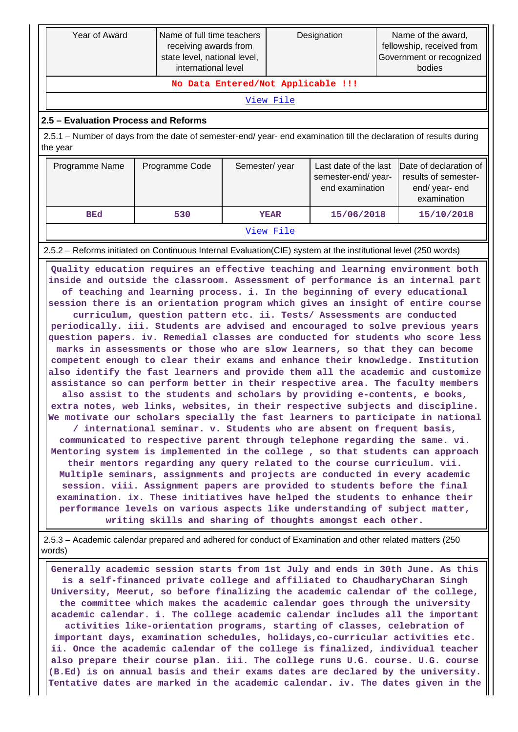|                                                                                                                     | Year of Award                                                                                                                                                                                                                                                                                                                                                                                                                                                                                                                                                                                                                                                                                                                                                                                                                                                                                                                                                                                                                                                                                                                                                                                                                                                                                                                                                                                                                                                                                                                                                                                                                                                                                                                                                                                                                                                                                                                                                                                                  | Name of full time teachers<br>Designation<br>receiving awards from<br>state level, national level,<br>international level |  | Name of the award,<br>fellowship, received from<br>Government or recognized<br>bodies |            |  |                                                                                 |  |  |
|---------------------------------------------------------------------------------------------------------------------|----------------------------------------------------------------------------------------------------------------------------------------------------------------------------------------------------------------------------------------------------------------------------------------------------------------------------------------------------------------------------------------------------------------------------------------------------------------------------------------------------------------------------------------------------------------------------------------------------------------------------------------------------------------------------------------------------------------------------------------------------------------------------------------------------------------------------------------------------------------------------------------------------------------------------------------------------------------------------------------------------------------------------------------------------------------------------------------------------------------------------------------------------------------------------------------------------------------------------------------------------------------------------------------------------------------------------------------------------------------------------------------------------------------------------------------------------------------------------------------------------------------------------------------------------------------------------------------------------------------------------------------------------------------------------------------------------------------------------------------------------------------------------------------------------------------------------------------------------------------------------------------------------------------------------------------------------------------------------------------------------------------|---------------------------------------------------------------------------------------------------------------------------|--|---------------------------------------------------------------------------------------|------------|--|---------------------------------------------------------------------------------|--|--|
|                                                                                                                     |                                                                                                                                                                                                                                                                                                                                                                                                                                                                                                                                                                                                                                                                                                                                                                                                                                                                                                                                                                                                                                                                                                                                                                                                                                                                                                                                                                                                                                                                                                                                                                                                                                                                                                                                                                                                                                                                                                                                                                                                                | No Data Entered/Not Applicable !!!                                                                                        |  |                                                                                       |            |  |                                                                                 |  |  |
|                                                                                                                     |                                                                                                                                                                                                                                                                                                                                                                                                                                                                                                                                                                                                                                                                                                                                                                                                                                                                                                                                                                                                                                                                                                                                                                                                                                                                                                                                                                                                                                                                                                                                                                                                                                                                                                                                                                                                                                                                                                                                                                                                                |                                                                                                                           |  | View File                                                                             |            |  |                                                                                 |  |  |
|                                                                                                                     | 2.5 - Evaluation Process and Reforms                                                                                                                                                                                                                                                                                                                                                                                                                                                                                                                                                                                                                                                                                                                                                                                                                                                                                                                                                                                                                                                                                                                                                                                                                                                                                                                                                                                                                                                                                                                                                                                                                                                                                                                                                                                                                                                                                                                                                                           |                                                                                                                           |  |                                                                                       |            |  |                                                                                 |  |  |
|                                                                                                                     | 2.5.1 – Number of days from the date of semester-end/ year- end examination till the declaration of results during<br>the year                                                                                                                                                                                                                                                                                                                                                                                                                                                                                                                                                                                                                                                                                                                                                                                                                                                                                                                                                                                                                                                                                                                                                                                                                                                                                                                                                                                                                                                                                                                                                                                                                                                                                                                                                                                                                                                                                 |                                                                                                                           |  |                                                                                       |            |  |                                                                                 |  |  |
| Last date of the last<br>Programme Name<br>Programme Code<br>Semester/year<br>semester-end/year-<br>end examination |                                                                                                                                                                                                                                                                                                                                                                                                                                                                                                                                                                                                                                                                                                                                                                                                                                                                                                                                                                                                                                                                                                                                                                                                                                                                                                                                                                                                                                                                                                                                                                                                                                                                                                                                                                                                                                                                                                                                                                                                                |                                                                                                                           |  |                                                                                       |            |  | Date of declaration of<br>results of semester-<br>end/ year- end<br>examination |  |  |
|                                                                                                                     | <b>BEd</b>                                                                                                                                                                                                                                                                                                                                                                                                                                                                                                                                                                                                                                                                                                                                                                                                                                                                                                                                                                                                                                                                                                                                                                                                                                                                                                                                                                                                                                                                                                                                                                                                                                                                                                                                                                                                                                                                                                                                                                                                     | 530                                                                                                                       |  | <b>YEAR</b>                                                                           | 15/06/2018 |  | 15/10/2018                                                                      |  |  |
|                                                                                                                     |                                                                                                                                                                                                                                                                                                                                                                                                                                                                                                                                                                                                                                                                                                                                                                                                                                                                                                                                                                                                                                                                                                                                                                                                                                                                                                                                                                                                                                                                                                                                                                                                                                                                                                                                                                                                                                                                                                                                                                                                                |                                                                                                                           |  | View File                                                                             |            |  |                                                                                 |  |  |
|                                                                                                                     |                                                                                                                                                                                                                                                                                                                                                                                                                                                                                                                                                                                                                                                                                                                                                                                                                                                                                                                                                                                                                                                                                                                                                                                                                                                                                                                                                                                                                                                                                                                                                                                                                                                                                                                                                                                                                                                                                                                                                                                                                |                                                                                                                           |  |                                                                                       |            |  |                                                                                 |  |  |
|                                                                                                                     | 2.5.2 – Reforms initiated on Continuous Internal Evaluation (CIE) system at the institutional level (250 words)<br>Quality education requires an effective teaching and learning environment both<br>inside and outside the classroom. Assessment of performance is an internal part<br>of teaching and learning process. i. In the beginning of every educational<br>session there is an orientation program which gives an insight of entire course<br>curriculum, question pattern etc. ii. Tests/ Assessments are conducted<br>periodically. iii. Students are advised and encouraged to solve previous years<br>question papers. iv. Remedial classes are conducted for students who score less<br>marks in assessments or those who are slow learners, so that they can become<br>competent enough to clear their exams and enhance their knowledge. Institution<br>also identify the fast learners and provide them all the academic and customize<br>assistance so can perform better in their respective area. The faculty members<br>also assist to the students and scholars by providing e-contents, e books,<br>extra notes, web links, websites, in their respective subjects and discipline.<br>We motivate our scholars specially the fast learners to participate in national<br>/ international seminar. v. Students who are absent on frequent basis,<br>communicated to respective parent through telephone regarding the same. vi.<br>Mentoring system is implemented in the college, so that students can approach<br>their mentors regarding any query related to the course curriculum. vii.<br>Multiple seminars, assignments and projects are conducted in every academic<br>session. viii. Assignment papers are provided to students before the final<br>examination. ix. These initiatives have helped the students to enhance their<br>performance levels on various aspects like understanding of subject matter,<br>writing skills and sharing of thoughts amongst each other. |                                                                                                                           |  |                                                                                       |            |  |                                                                                 |  |  |
|                                                                                                                     | 2.5.3 - Academic calendar prepared and adhered for conduct of Examination and other related matters (250<br>words)                                                                                                                                                                                                                                                                                                                                                                                                                                                                                                                                                                                                                                                                                                                                                                                                                                                                                                                                                                                                                                                                                                                                                                                                                                                                                                                                                                                                                                                                                                                                                                                                                                                                                                                                                                                                                                                                                             |                                                                                                                           |  |                                                                                       |            |  |                                                                                 |  |  |
|                                                                                                                     | Generally academic session starts from 1st July and ends in 30th June. As this<br>is a self-financed private college and affiliated to ChaudharyCharan Singh<br>University, Meerut, so before finalizing the academic calendar of the college,<br>the committee which makes the academic calendar goes through the university<br>academic calendar. i. The college academic calendar includes all the important<br>activities like-orientation programs, starting of classes, celebration of<br>important days, examination schedules, holidays, co-curricular activities etc.<br>ii. Once the academic calendar of the college is finalized, individual teacher<br>also prepare their course plan. iii. The college runs U.G. course. U.G. course<br>(B.Ed) is on annual basis and their exams dates are declared by the university.<br>Tentative dates are marked in the academic calendar. iv. The dates given in the                                                                                                                                                                                                                                                                                                                                                                                                                                                                                                                                                                                                                                                                                                                                                                                                                                                                                                                                                                                                                                                                                       |                                                                                                                           |  |                                                                                       |            |  |                                                                                 |  |  |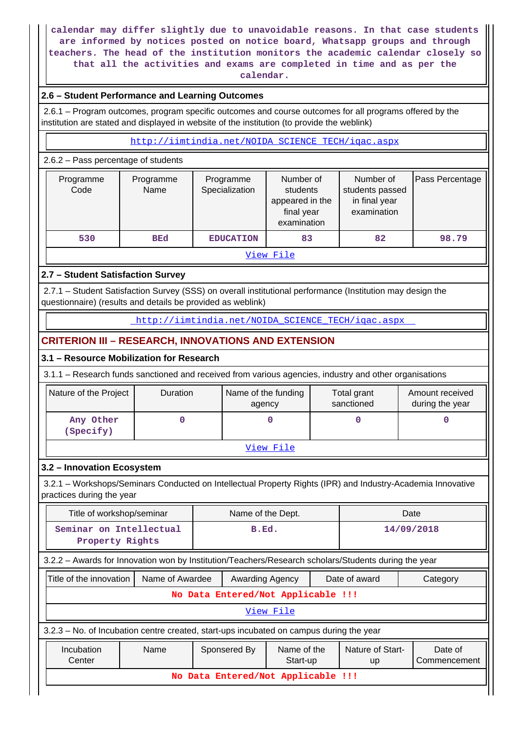**calendar may differ slightly due to unavoidable reasons. In that case students are informed by notices posted on notice board, Whatsapp groups and through teachers. The head of the institution monitors the academic calendar closely so that all the activities and exams are completed in time and as per the calendar.**

# **2.6 – Student Performance and Learning Outcomes**

 2.6.1 – Program outcomes, program specific outcomes and course outcomes for all programs offered by the institution are stated and displayed in website of the institution (to provide the weblink)

[http://iimtindia.net/NOIDA\\_SCIENCE\\_TECH/iqac.aspx](http://iimtindia.net/NOIDA_SCIENCE_TECH/iqac.aspx)

#### 2.6.2 – Pass percentage of students

| Programme<br>Code | Programme<br>Name | Programme<br>Specialization | Number of<br>students<br>appeared in the<br>final year<br>examination | Number of<br>students passed<br>in final year<br>examination | Pass Percentage |  |
|-------------------|-------------------|-----------------------------|-----------------------------------------------------------------------|--------------------------------------------------------------|-----------------|--|
| 530               | <b>BEd</b>        | <b>EDUCATION</b>            | 83                                                                    | 82                                                           | 98.79           |  |
| View File         |                   |                             |                                                                       |                                                              |                 |  |

# **2.7 – Student Satisfaction Survey**

 2.7.1 – Student Satisfaction Survey (SSS) on overall institutional performance (Institution may design the questionnaire) (results and details be provided as weblink)

[http://iimtindia.net/NOIDA\\_SCIENCE\\_TECH/iqac.aspx](http://iimtindia.net/NOIDA_SCIENCE_TECH/iqac.aspx) 

# **CRITERION III – RESEARCH, INNOVATIONS AND EXTENSION**

## **3.1 – Resource Mobilization for Research**

3.1.1 – Research funds sanctioned and received from various agencies, industry and other organisations

| Nature of the Project  | <b>Duration</b> | Name of the funding<br>agency | Total grant<br>sanctioned | Amount received<br>during the year |  |
|------------------------|-----------------|-------------------------------|---------------------------|------------------------------------|--|
| Any Other<br>(Specify) |                 |                               |                           |                                    |  |
| View File              |                 |                               |                           |                                    |  |

## **3.2 – Innovation Ecosystem**

 3.2.1 – Workshops/Seminars Conducted on Intellectual Property Rights (IPR) and Industry-Academia Innovative practices during the year

| Title of workshop/seminar                                                                                           |                 | Name of the Dept. |                        |                                    |  | Date          |          |
|---------------------------------------------------------------------------------------------------------------------|-----------------|-------------------|------------------------|------------------------------------|--|---------------|----------|
| Seminar on Intellectual<br>Property Rights                                                                          |                 |                   | B.Ed.                  |                                    |  | 14/09/2018    |          |
| 3.2.2 - Awards for Innovation won by Institution/Teachers/Research scholars/Students during the year                |                 |                   |                        |                                    |  |               |          |
| Title of the innovation                                                                                             | Name of Awardee |                   | <b>Awarding Agency</b> |                                    |  | Date of award | Category |
| No Data Entered/Not Applicable !!!                                                                                  |                 |                   |                        |                                    |  |               |          |
|                                                                                                                     |                 |                   |                        | View File                          |  |               |          |
| 3.2.3 - No. of Incubation centre created, start-ups incubated on campus during the year                             |                 |                   |                        |                                    |  |               |          |
| Name of the<br>Nature of Start-<br>Incubation<br>Name<br>Sponsered By<br>Date of<br>Center<br>Start-up<br><b>up</b> |                 |                   |                        |                                    |  | Commencement  |          |
|                                                                                                                     |                 |                   |                        | No Data Entered/Not Applicable !!! |  |               |          |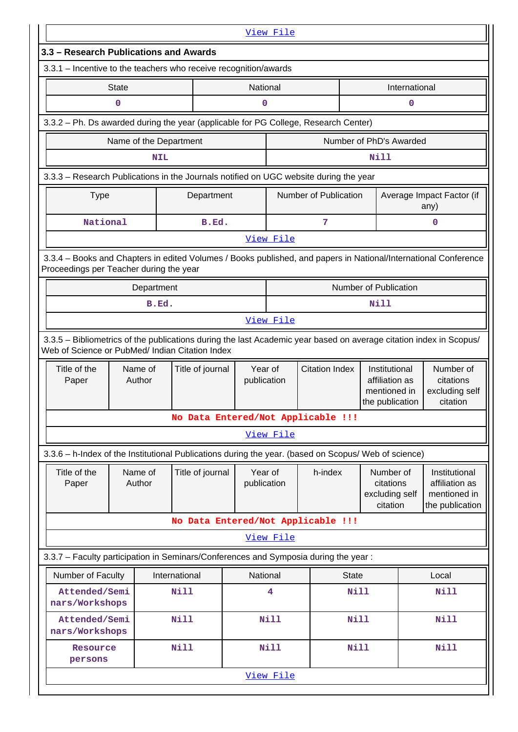|                                                                                                                                                                       |                        |               |                  |                        | View File   |                                    |                                                                    |               |                                                                    |
|-----------------------------------------------------------------------------------------------------------------------------------------------------------------------|------------------------|---------------|------------------|------------------------|-------------|------------------------------------|--------------------------------------------------------------------|---------------|--------------------------------------------------------------------|
| 3.3 - Research Publications and Awards                                                                                                                                |                        |               |                  |                        |             |                                    |                                                                    |               |                                                                    |
| 3.3.1 - Incentive to the teachers who receive recognition/awards                                                                                                      |                        |               |                  |                        |             |                                    |                                                                    |               |                                                                    |
|                                                                                                                                                                       | <b>State</b>           |               |                  | National               |             |                                    |                                                                    | International |                                                                    |
|                                                                                                                                                                       | 0                      |               |                  | 0                      |             |                                    |                                                                    | 0             |                                                                    |
| 3.3.2 - Ph. Ds awarded during the year (applicable for PG College, Research Center)                                                                                   |                        |               |                  |                        |             |                                    |                                                                    |               |                                                                    |
|                                                                                                                                                                       | Name of the Department |               |                  |                        |             |                                    | Number of PhD's Awarded                                            |               |                                                                    |
|                                                                                                                                                                       |                        | <b>NIL</b>    |                  |                        |             |                                    | Nill                                                               |               |                                                                    |
| 3.3.3 - Research Publications in the Journals notified on UGC website during the year                                                                                 |                        |               |                  |                        |             |                                    |                                                                    |               |                                                                    |
| <b>Type</b>                                                                                                                                                           |                        |               | Department       |                        |             | Number of Publication              |                                                                    |               | Average Impact Factor (if<br>any)                                  |
| National                                                                                                                                                              |                        |               | B.Ed.            |                        |             | 7                                  |                                                                    |               | $\mathbf 0$                                                        |
|                                                                                                                                                                       |                        |               |                  |                        | View File   |                                    |                                                                    |               |                                                                    |
| 3.3.4 - Books and Chapters in edited Volumes / Books published, and papers in National/International Conference<br>Proceedings per Teacher during the year            |                        |               |                  |                        |             |                                    |                                                                    |               |                                                                    |
|                                                                                                                                                                       |                        | Department    |                  |                        |             |                                    | Number of Publication                                              |               |                                                                    |
|                                                                                                                                                                       |                        | B.Ed.         |                  |                        |             |                                    | Nill                                                               |               |                                                                    |
|                                                                                                                                                                       |                        |               |                  |                        | View File   |                                    |                                                                    |               |                                                                    |
| 3.3.5 - Bibliometrics of the publications during the last Academic year based on average citation index in Scopus/<br>Web of Science or PubMed/ Indian Citation Index |                        |               |                  |                        |             |                                    |                                                                    |               |                                                                    |
| Title of the<br>Paper                                                                                                                                                 | Name of<br>Author      |               | Title of journal | Year of<br>publication |             | <b>Citation Index</b>              | Institutional<br>affiliation as<br>mentioned in<br>the publication |               | Number of<br>citations<br>excluding self<br>citation               |
|                                                                                                                                                                       |                        |               |                  |                        |             | No Data Entered/Not Applicable !!! |                                                                    |               |                                                                    |
|                                                                                                                                                                       |                        |               |                  |                        | View File   |                                    |                                                                    |               |                                                                    |
| 3.3.6 - h-Index of the Institutional Publications during the year. (based on Scopus/ Web of science)                                                                  |                        |               |                  |                        |             |                                    |                                                                    |               |                                                                    |
| Title of the<br>Paper                                                                                                                                                 | Name of<br>Author      |               | Title of journal | Year of<br>publication |             | h-index                            | Number of<br>citations<br>excluding self<br>citation               |               | Institutional<br>affiliation as<br>mentioned in<br>the publication |
|                                                                                                                                                                       |                        |               |                  |                        |             | No Data Entered/Not Applicable !!! |                                                                    |               |                                                                    |
|                                                                                                                                                                       |                        |               |                  |                        | View File   |                                    |                                                                    |               |                                                                    |
| 3.3.7 - Faculty participation in Seminars/Conferences and Symposia during the year:                                                                                   |                        |               |                  |                        |             |                                    |                                                                    |               |                                                                    |
| Number of Faculty                                                                                                                                                     |                        | International |                  | National               |             | <b>State</b>                       |                                                                    |               | Local                                                              |
| Attended/Semi<br>nars/Workshops                                                                                                                                       |                        | <b>Nill</b>   |                  |                        | 4           |                                    | <b>Nill</b>                                                        |               | <b>Nill</b>                                                        |
| Attended/Semi<br>nars/Workshops                                                                                                                                       |                        | <b>Nill</b>   |                  |                        | <b>Nill</b> |                                    | <b>Nill</b>                                                        |               | <b>Nill</b>                                                        |
| Resource                                                                                                                                                              |                        | <b>Nill</b>   |                  |                        | Nill        |                                    | <b>Nill</b>                                                        |               | <b>Nill</b>                                                        |
| persons                                                                                                                                                               |                        |               |                  |                        |             |                                    |                                                                    |               |                                                                    |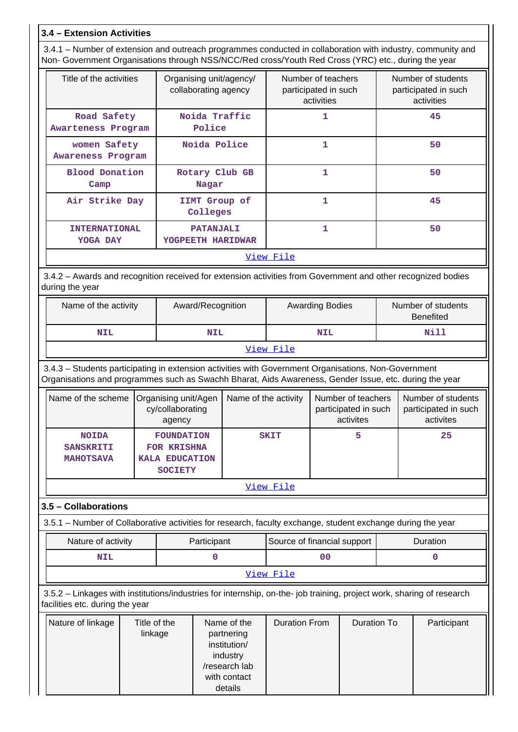# **3.4 – Extension Activities**

 3.4.1 – Number of extension and outreach programmes conducted in collaboration with industry, community and Non- Government Organisations through NSS/NCC/Red cross/Youth Red Cross (YRC) etc., during the year

| Title of the activities                                                                                                         | Organising unit/agency/<br>collaborating agency | Number of teachers<br>participated in such<br>activities | Number of students<br>participated in such<br>activities |  |  |  |  |  |
|---------------------------------------------------------------------------------------------------------------------------------|-------------------------------------------------|----------------------------------------------------------|----------------------------------------------------------|--|--|--|--|--|
| Road Safety<br>Awarteness Program                                                                                               | Noida Traffic<br>Police                         | 1                                                        | 45                                                       |  |  |  |  |  |
| women Safety<br>Awareness Program                                                                                               | Noida Police                                    | 1                                                        | 50                                                       |  |  |  |  |  |
| <b>Blood Donation</b><br>Camp                                                                                                   | Rotary Club GB<br>Nagar                         | 1                                                        | 50                                                       |  |  |  |  |  |
| Air Strike Day                                                                                                                  | IIMT Group of<br>Colleges                       | 1                                                        | 45                                                       |  |  |  |  |  |
| <b>INTERNATIONAL</b><br>YOGA DAY                                                                                                | <b>PATANJALI</b><br>YOGPEETH HARIDWAR           | 1                                                        | 50                                                       |  |  |  |  |  |
| <u>View File</u>                                                                                                                |                                                 |                                                          |                                                          |  |  |  |  |  |
| 3.4.2 – Awards and recognition received for extension activities from Government and other recognized bodies<br>during the year |                                                 |                                                          |                                                          |  |  |  |  |  |

| Name of the activity | Award/Recognition | <b>Awarding Bodies</b> | Number of students<br>Benefited |  |  |  |  |  |
|----------------------|-------------------|------------------------|---------------------------------|--|--|--|--|--|
| NIL                  | <b>NIL</b>        | <b>NIL</b>             | Nill                            |  |  |  |  |  |
| View File            |                   |                        |                                 |  |  |  |  |  |

 3.4.3 – Students participating in extension activities with Government Organisations, Non-Government Organisations and programmes such as Swachh Bharat, Aids Awareness, Gender Issue, etc. during the year

|                                                      | Name of the scheme   Organising unit/Agen<br>cy/collaborating<br>agency     | Name of the activity | Number of teachers<br>participated in such<br>activites | Number of students<br>participated in such<br>activites |
|------------------------------------------------------|-----------------------------------------------------------------------------|----------------------|---------------------------------------------------------|---------------------------------------------------------|
| <b>NOIDA</b><br><b>SANSKRITI</b><br><b>MAHOTSAVA</b> | <b>FOUNDATION</b><br>FOR KRISHNA<br><b>KALA EDUCATION</b><br><b>SOCIETY</b> | <b>SKIT</b>          |                                                         | 25                                                      |

[View File](https://assessmentonline.naac.gov.in/public/Postacc/Students_in_extension/4536_Students_in_extension_1584616280.xlsx)

# **3.5 – Collaborations**

3.5.1 – Number of Collaborative activities for research, faculty exchange, student exchange during the year

| Nature of activity | Participant | Source of financial support | <b>Duration</b> |
|--------------------|-------------|-----------------------------|-----------------|
| NIL                |             | 00                          |                 |
|                    |             | View File                   |                 |

 3.5.2 – Linkages with institutions/industries for internship, on-the- job training, project work, sharing of research facilities etc. during the year

| Nature of linkage | Title of the<br>linkage | Name of the<br>partnering<br>institution/<br>industry | Duration From | Duration To | Participant |
|-------------------|-------------------------|-------------------------------------------------------|---------------|-------------|-------------|
|                   |                         | /research lab                                         |               |             |             |
|                   |                         | with contact                                          |               |             |             |
|                   |                         | details                                               |               |             |             |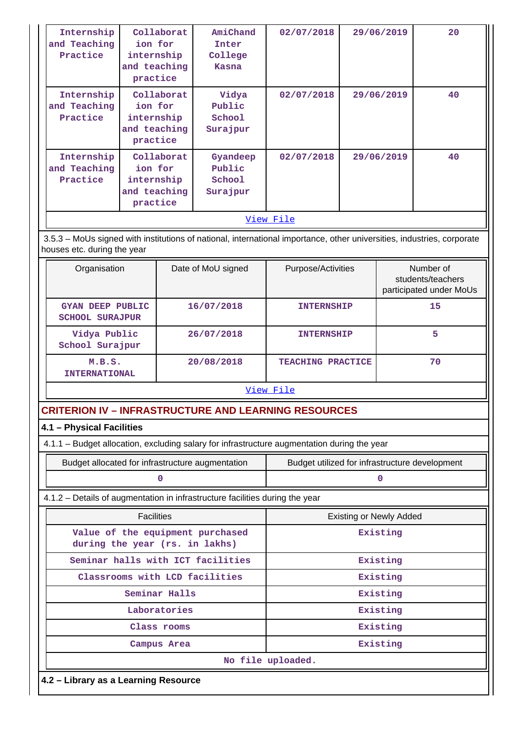| Internship<br>and Teaching<br>Practice                                                      | ion for<br>practice                                             | Collaborat<br>internship<br>and teaching | AmiChand<br>Inter<br>College<br><b>Kasna</b> | 02/07/2018                                                                                                             |          | 29/06/2019                                                | 20 |  |
|---------------------------------------------------------------------------------------------|-----------------------------------------------------------------|------------------------------------------|----------------------------------------------|------------------------------------------------------------------------------------------------------------------------|----------|-----------------------------------------------------------|----|--|
| Internship<br>and Teaching<br>Practice                                                      | Collaborat<br>ion for<br>internship<br>and teaching<br>practice |                                          | Vidya<br>Public<br>School<br>Surajpur        | 02/07/2018                                                                                                             |          | 29/06/2019                                                | 40 |  |
| Internship<br>and Teaching<br>Practice                                                      | ion for<br>practice                                             | Collaborat<br>internship<br>and teaching | Gyandeep<br>Public<br>School<br>Surajpur     | 02/07/2018                                                                                                             |          | 29/06/2019                                                | 40 |  |
|                                                                                             |                                                                 |                                          |                                              | View File                                                                                                              |          |                                                           |    |  |
| houses etc. during the year                                                                 |                                                                 |                                          |                                              | 3.5.3 - MoUs signed with institutions of national, international importance, other universities, industries, corporate |          |                                                           |    |  |
| Organisation                                                                                |                                                                 |                                          | Date of MoU signed                           | Purpose/Activities                                                                                                     |          | Number of<br>students/teachers<br>participated under MoUs |    |  |
| <b>GYAN DEEP PUBLIC</b><br><b>SCHOOL SURAJPUR</b>                                           |                                                                 |                                          | 16/07/2018                                   | <b>INTERNSHIP</b>                                                                                                      |          |                                                           | 15 |  |
| Vidya Public<br>School Surajpur                                                             |                                                                 |                                          | 26/07/2018                                   | <b>INTERNSHIP</b>                                                                                                      |          | 5                                                         |    |  |
| M.B.S.<br><b>INTERNATIONAL</b>                                                              |                                                                 |                                          | 20/08/2018                                   | <b>TEACHING PRACTICE</b>                                                                                               |          |                                                           | 70 |  |
|                                                                                             |                                                                 |                                          |                                              | View File                                                                                                              |          |                                                           |    |  |
| <b>CRITERION IV - INFRASTRUCTURE AND LEARNING RESOURCES</b>                                 |                                                                 |                                          |                                              |                                                                                                                        |          |                                                           |    |  |
| 4.1 - Physical Facilities                                                                   |                                                                 |                                          |                                              |                                                                                                                        |          |                                                           |    |  |
| 4.1.1 - Budget allocation, excluding salary for infrastructure augmentation during the year |                                                                 |                                          |                                              |                                                                                                                        |          |                                                           |    |  |
| Budget allocated for infrastructure augmentation                                            |                                                                 |                                          |                                              | Budget utilized for infrastructure development                                                                         |          |                                                           |    |  |
|                                                                                             |                                                                 | 0                                        |                                              |                                                                                                                        |          | $\pmb{0}$                                                 |    |  |
| 4.1.2 - Details of augmentation in infrastructure facilities during the year                |                                                                 |                                          |                                              |                                                                                                                        |          |                                                           |    |  |
|                                                                                             | <b>Facilities</b>                                               |                                          |                                              |                                                                                                                        |          | <b>Existing or Newly Added</b>                            |    |  |
| during the year (rs. in lakhs)                                                              |                                                                 |                                          | Value of the equipment purchased             | Existing                                                                                                               |          |                                                           |    |  |
|                                                                                             |                                                                 |                                          | Seminar halls with ICT facilities            |                                                                                                                        |          | Existing                                                  |    |  |
| Classrooms with LCD facilities                                                              |                                                                 |                                          |                                              |                                                                                                                        | Existing |                                                           |    |  |
|                                                                                             | Seminar Halls                                                   |                                          |                                              |                                                                                                                        |          | Existing                                                  |    |  |
|                                                                                             | Laboratories                                                    |                                          |                                              |                                                                                                                        |          | Existing                                                  |    |  |
|                                                                                             |                                                                 | Class rooms                              |                                              |                                                                                                                        |          | Existing                                                  |    |  |
|                                                                                             |                                                                 | Campus Area                              |                                              |                                                                                                                        |          | Existing                                                  |    |  |
|                                                                                             |                                                                 |                                          |                                              | No file uploaded.                                                                                                      |          |                                                           |    |  |
| 4.2 - Library as a Learning Resource                                                        |                                                                 |                                          |                                              |                                                                                                                        |          |                                                           |    |  |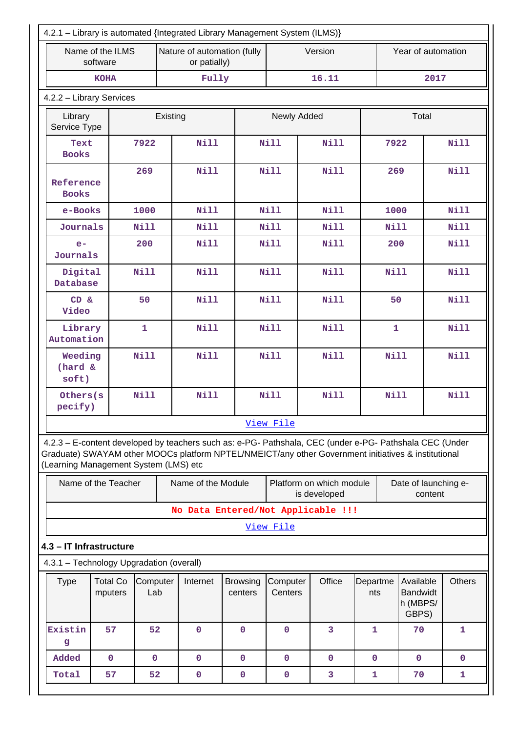| 4.2.1 - Library is automated {Integrated Library Management System (ILMS)}                                                                                                                                                                              |                                                                             |                 |          |                    |                            |                     |                                          |                 |                                                   |         |               |
|---------------------------------------------------------------------------------------------------------------------------------------------------------------------------------------------------------------------------------------------------------|-----------------------------------------------------------------------------|-----------------|----------|--------------------|----------------------------|---------------------|------------------------------------------|-----------------|---------------------------------------------------|---------|---------------|
|                                                                                                                                                                                                                                                         | Name of the ILMS<br>Nature of automation (fully<br>software<br>or patially) |                 |          |                    |                            | Version             |                                          |                 | Year of automation                                |         |               |
|                                                                                                                                                                                                                                                         | <b>KOHA</b>                                                                 |                 |          | Fully              |                            |                     | 16.11                                    |                 |                                                   | 2017    |               |
|                                                                                                                                                                                                                                                         | 4.2.2 - Library Services                                                    |                 |          |                    |                            |                     |                                          |                 |                                                   |         |               |
| Library<br>Service Type                                                                                                                                                                                                                                 |                                                                             |                 | Existing |                    |                            | Newly Added         |                                          |                 | Total                                             |         |               |
| Text<br><b>Books</b>                                                                                                                                                                                                                                    |                                                                             | 7922            |          | <b>Nill</b>        |                            | <b>Nill</b>         | Nill                                     |                 | 7922                                              |         | <b>Nill</b>   |
| Reference<br><b>Books</b>                                                                                                                                                                                                                               |                                                                             | 269             |          | <b>Nill</b>        |                            | <b>Nill</b>         | <b>Nill</b>                              |                 | 269                                               |         | <b>Nill</b>   |
| e-Books                                                                                                                                                                                                                                                 |                                                                             | 1000            |          | <b>Nill</b>        |                            | <b>Nill</b>         | Nill                                     |                 | 1000                                              |         | Nill          |
| Journals                                                                                                                                                                                                                                                |                                                                             | Nill            |          | <b>Nill</b>        |                            | Nill                | Nill                                     |                 | Nill                                              |         | <b>Nill</b>   |
| $e-$<br>Journals                                                                                                                                                                                                                                        |                                                                             | 200             |          | <b>Nill</b>        |                            | <b>Nill</b>         | <b>Nill</b>                              |                 | 200                                               |         | <b>Nill</b>   |
| Digital<br>Database                                                                                                                                                                                                                                     |                                                                             | <b>Nill</b>     |          | <b>Nill</b>        |                            | <b>Nill</b>         | <b>Nill</b>                              |                 | Nill                                              |         | <b>Nill</b>   |
| CD &<br>Video                                                                                                                                                                                                                                           |                                                                             | 50              |          | <b>Nill</b>        |                            | <b>Nill</b>         | <b>Nill</b>                              |                 | 50                                                |         | <b>Nill</b>   |
| Library<br>Automation                                                                                                                                                                                                                                   |                                                                             | $\mathbf{1}$    |          | <b>Nill</b>        |                            | <b>Nill</b>         | Nill                                     |                 | $\mathbf 1$                                       |         | <b>Nill</b>   |
| Weeding<br>(hard &<br>soft)                                                                                                                                                                                                                             |                                                                             | <b>Nill</b>     |          | <b>Nill</b>        |                            | <b>Nill</b>         | <b>Nill</b>                              |                 | Nill                                              |         | Nill          |
| Others(s<br>pecify)                                                                                                                                                                                                                                     |                                                                             | <b>Nill</b>     |          | Nill               |                            | <b>Nill</b>         | <b>Nill</b>                              |                 | <b>Nill</b>                                       |         | <b>Nill</b>   |
|                                                                                                                                                                                                                                                         |                                                                             |                 |          |                    |                            | View File           |                                          |                 |                                                   |         |               |
| 4.2.3 - E-content developed by teachers such as: e-PG- Pathshala, CEC (under e-PG- Pathshala CEC (Under<br>Graduate) SWAYAM other MOOCs platform NPTEL/NMEICT/any other Government initiatives & institutional<br>(Learning Management System (LMS) etc |                                                                             |                 |          |                    |                            |                     |                                          |                 |                                                   |         |               |
|                                                                                                                                                                                                                                                         | Name of the Teacher                                                         |                 |          | Name of the Module |                            |                     | Platform on which module<br>is developed |                 | Date of launching e-                              | content |               |
|                                                                                                                                                                                                                                                         |                                                                             |                 |          |                    |                            |                     | No Data Entered/Not Applicable !!!       |                 |                                                   |         |               |
|                                                                                                                                                                                                                                                         |                                                                             |                 |          |                    |                            | View File           |                                          |                 |                                                   |         |               |
| 4.3 - IT Infrastructure                                                                                                                                                                                                                                 |                                                                             |                 |          |                    |                            |                     |                                          |                 |                                                   |         |               |
| 4.3.1 - Technology Upgradation (overall)                                                                                                                                                                                                                |                                                                             |                 |          |                    |                            |                     |                                          |                 |                                                   |         |               |
| <b>Type</b>                                                                                                                                                                                                                                             | <b>Total Co</b><br>mputers                                                  | Computer<br>Lab |          | Internet           | <b>Browsing</b><br>centers | Computer<br>Centers | Office                                   | Departme<br>nts | Available<br><b>Bandwidt</b><br>h (MBPS/<br>GBPS) |         | <b>Others</b> |
| Existin<br>g                                                                                                                                                                                                                                            | 57                                                                          | 52              |          | $\mathbf 0$        | $\mathbf 0$                | $\mathbf 0$         | $\overline{3}$                           | $\mathbf{1}$    | 70                                                |         | $\mathbf 1$   |
| Added                                                                                                                                                                                                                                                   | $\mathbf 0$                                                                 | $\mathbf{O}$    |          | $\mathbf 0$        | $\mathbf 0$                | $\mathbf{0}$        | $\mathbf 0$                              | $\mathbf{0}$    | $\mathbf{0}$                                      |         | $\mathbf 0$   |
| Total                                                                                                                                                                                                                                                   | 57                                                                          | 52              |          | $\mathbf 0$        | $\mathbf 0$                | $\mathbf 0$         | 3                                        | 1               | 70                                                |         | 1             |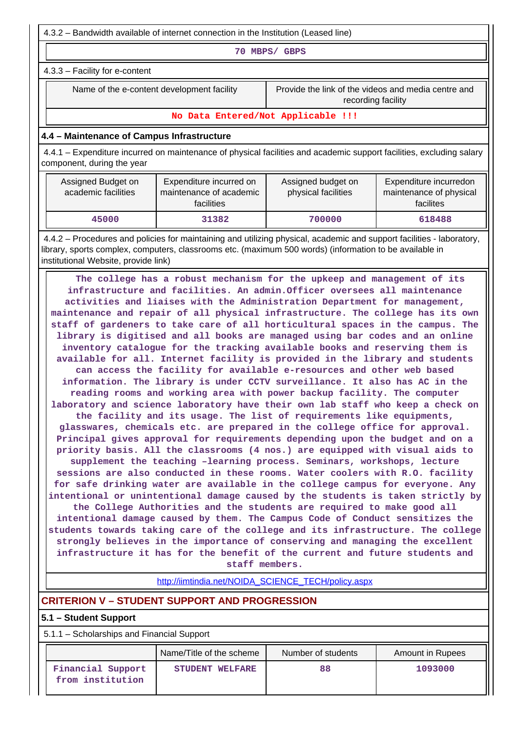4.3.2 – Bandwidth available of internet connection in the Institution (Leased line)

**70 MBPS/ GBPS**

4.3.3 – Facility for e-content

Name of the e-content development facility Frovide the link of the videos and media centre and recording facility

**No Data Entered/Not Applicable !!!**

## **4.4 – Maintenance of Campus Infrastructure**

 4.4.1 – Expenditure incurred on maintenance of physical facilities and academic support facilities, excluding salary component, during the year

| Assigned Budget on<br>academic facilities | Expenditure incurred on<br>maintenance of academic<br>facilities | Assigned budget on<br>physical facilities | Expenditure incurredon<br>maintenance of physical<br>facilites |
|-------------------------------------------|------------------------------------------------------------------|-------------------------------------------|----------------------------------------------------------------|
| 45000                                     | 31382                                                            | 700000                                    | 618488                                                         |

 4.4.2 – Procedures and policies for maintaining and utilizing physical, academic and support facilities - laboratory, library, sports complex, computers, classrooms etc. (maximum 500 words) (information to be available in institutional Website, provide link)

 **The college has a robust mechanism for the upkeep and management of its infrastructure and facilities. An admin.Officer oversees all maintenance activities and liaises with the Administration Department for management, maintenance and repair of all physical infrastructure. The college has its own staff of gardeners to take care of all horticultural spaces in the campus. The library is digitised and all books are managed using bar codes and an online inventory catalogue for the tracking available books and reserving them is available for all. Internet facility is provided in the library and students can access the facility for available e-resources and other web based information. The library is under CCTV surveillance. It also has AC in the reading rooms and working area with power backup facility. The computer laboratory and science laboratory have their own lab staff who keep a check on the facility and its usage. The list of requirements like equipments, glasswares, chemicals etc. are prepared in the college office for approval. Principal gives approval for requirements depending upon the budget and on a priority basis. All the classrooms (4 nos.) are equipped with visual aids to supplement the teaching –learning process. Seminars, workshops, lecture sessions are also conducted in these rooms. Water coolers with R.O. facility for safe drinking water are available in the college campus for everyone. Any intentional or unintentional damage caused by the students is taken strictly by the College Authorities and the students are required to make good all intentional damage caused by them. The Campus Code of Conduct sensitizes the students towards taking care of the college and its infrastructure. The college strongly believes in the importance of conserving and managing the excellent infrastructure it has for the benefit of the current and future students and staff members.**

[http://iimtindia.net/NOIDA\\_SCIENCE\\_TECH/policy.aspx](http://iimtindia.net/NOIDA_SCIENCE_TECH/policy.aspx)

# **CRITERION V – STUDENT SUPPORT AND PROGRESSION**

## **5.1 – Student Support**

5.1.1 – Scholarships and Financial Support

|                                       | Name/Title of the scheme | Number of students | <b>Amount in Rupees</b> |
|---------------------------------------|--------------------------|--------------------|-------------------------|
| Financial Support<br>from institution | STUDENT WELFARE          | 88                 | 1093000                 |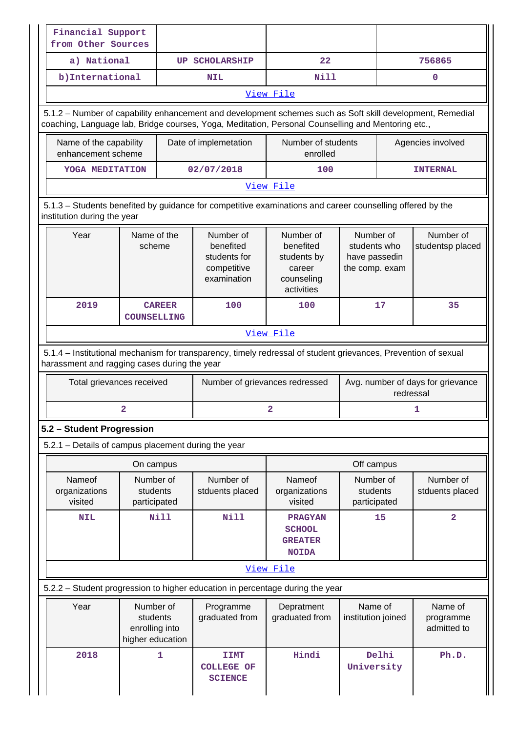| Financial Support<br>from Other Sources                                                                                                                                                                         |                                                             |                                                                                                           |                                                                             |                                                              |                                                |  |  |
|-----------------------------------------------------------------------------------------------------------------------------------------------------------------------------------------------------------------|-------------------------------------------------------------|-----------------------------------------------------------------------------------------------------------|-----------------------------------------------------------------------------|--------------------------------------------------------------|------------------------------------------------|--|--|
| a) National                                                                                                                                                                                                     |                                                             | <b>UP SCHOLARSHIP</b>                                                                                     | 22                                                                          |                                                              | 756865                                         |  |  |
| b) International                                                                                                                                                                                                |                                                             | <b>NIL</b>                                                                                                | <b>Nill</b>                                                                 |                                                              | 0                                              |  |  |
| View File                                                                                                                                                                                                       |                                                             |                                                                                                           |                                                                             |                                                              |                                                |  |  |
| 5.1.2 - Number of capability enhancement and development schemes such as Soft skill development, Remedial<br>coaching, Language lab, Bridge courses, Yoga, Meditation, Personal Counselling and Mentoring etc., |                                                             |                                                                                                           |                                                                             |                                                              |                                                |  |  |
| Name of the capability<br>enhancement scheme                                                                                                                                                                    |                                                             | Date of implemetation                                                                                     | Number of students<br>enrolled                                              | Agencies involved                                            |                                                |  |  |
| YOGA MEDITATION                                                                                                                                                                                                 |                                                             | 02/07/2018                                                                                                | 100                                                                         |                                                              | <b>INTERNAL</b>                                |  |  |
|                                                                                                                                                                                                                 |                                                             |                                                                                                           | View File                                                                   |                                                              |                                                |  |  |
| institution during the year                                                                                                                                                                                     |                                                             | 5.1.3 - Students benefited by guidance for competitive examinations and career counselling offered by the |                                                                             |                                                              |                                                |  |  |
| Year                                                                                                                                                                                                            | Name of the<br>scheme                                       | Number of<br>benefited<br>students for<br>competitive<br>examination                                      | Number of<br>benefited<br>students by<br>career<br>counseling<br>activities | Number of<br>students who<br>have passedin<br>the comp. exam | Number of<br>studentsp placed                  |  |  |
| 2019                                                                                                                                                                                                            | <b>CAREER</b><br><b>COUNSELLING</b>                         | 100                                                                                                       | 100                                                                         | 17                                                           | 35                                             |  |  |
|                                                                                                                                                                                                                 |                                                             |                                                                                                           | View File                                                                   |                                                              |                                                |  |  |
| 5.1.4 - Institutional mechanism for transparency, timely redressal of student grievances, Prevention of sexual<br>harassment and ragging cases during the year                                                  | Total grievances received                                   | Number of grievances redressed                                                                            |                                                                             |                                                              | Avg. number of days for grievance<br>redressal |  |  |
|                                                                                                                                                                                                                 | 2                                                           |                                                                                                           | 2                                                                           |                                                              | 1                                              |  |  |
| 5.2 - Student Progression                                                                                                                                                                                       |                                                             |                                                                                                           |                                                                             |                                                              |                                                |  |  |
| 5.2.1 - Details of campus placement during the year                                                                                                                                                             |                                                             |                                                                                                           |                                                                             |                                                              |                                                |  |  |
|                                                                                                                                                                                                                 | On campus                                                   |                                                                                                           |                                                                             | Off campus                                                   |                                                |  |  |
| Nameof<br>organizations<br>visited                                                                                                                                                                              | Number of<br>students<br>participated                       | Number of<br>stduents placed                                                                              | Nameof<br>organizations<br>visited                                          | Number of<br>students<br>participated                        | Number of<br>stduents placed                   |  |  |
| <b>NIL</b>                                                                                                                                                                                                      | Nill                                                        | Nill                                                                                                      | <b>PRAGYAN</b><br><b>SCHOOL</b><br><b>GREATER</b><br><b>NOIDA</b>           | 15                                                           | $\overline{\mathbf{2}}$                        |  |  |
|                                                                                                                                                                                                                 |                                                             |                                                                                                           | View File                                                                   |                                                              |                                                |  |  |
|                                                                                                                                                                                                                 |                                                             | 5.2.2 - Student progression to higher education in percentage during the year                             |                                                                             |                                                              |                                                |  |  |
| Year                                                                                                                                                                                                            | Number of<br>students<br>enrolling into<br>higher education | Programme<br>graduated from                                                                               | Depratment<br>graduated from                                                | Name of<br>institution joined                                | Name of<br>programme<br>admitted to            |  |  |
| 2018                                                                                                                                                                                                            |                                                             |                                                                                                           | Hindi                                                                       | Delhi                                                        | Ph.D.                                          |  |  |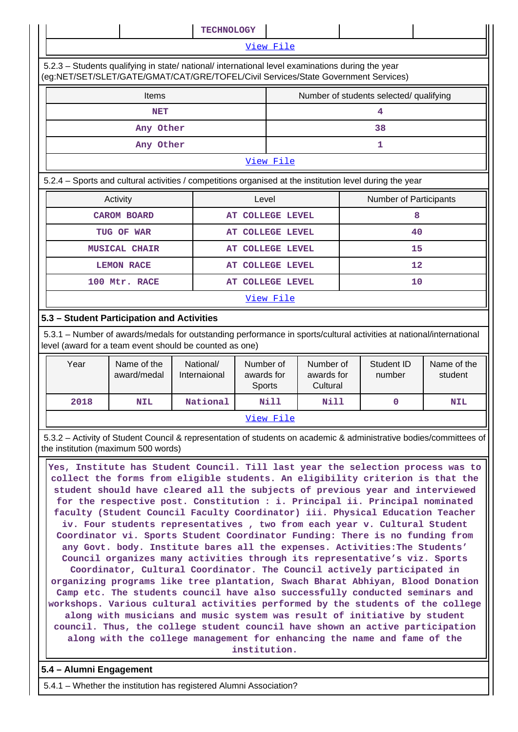|                                                                                                          | <b>TECHNOLOGY</b>                                                                                                                                                                      |                  |                                         |    |  |  |  |  |
|----------------------------------------------------------------------------------------------------------|----------------------------------------------------------------------------------------------------------------------------------------------------------------------------------------|------------------|-----------------------------------------|----|--|--|--|--|
|                                                                                                          | View File                                                                                                                                                                              |                  |                                         |    |  |  |  |  |
|                                                                                                          | 5.2.3 - Students qualifying in state/ national/ international level examinations during the year<br>(eg:NET/SET/SLET/GATE/GMAT/CAT/GRE/TOFEL/Civil Services/State Government Services) |                  |                                         |    |  |  |  |  |
| Items                                                                                                    |                                                                                                                                                                                        |                  | Number of students selected/ qualifying |    |  |  |  |  |
| <b>NET</b>                                                                                               |                                                                                                                                                                                        |                  | 4                                       |    |  |  |  |  |
| Any Other                                                                                                |                                                                                                                                                                                        |                  | 38                                      |    |  |  |  |  |
| Any Other                                                                                                |                                                                                                                                                                                        |                  | 1                                       |    |  |  |  |  |
|                                                                                                          |                                                                                                                                                                                        | View File        |                                         |    |  |  |  |  |
| 5.2.4 – Sports and cultural activities / competitions organised at the institution level during the year |                                                                                                                                                                                        |                  |                                         |    |  |  |  |  |
| Activity                                                                                                 | Level                                                                                                                                                                                  |                  | <b>Number of Participants</b>           |    |  |  |  |  |
| <b>CAROM BOARD</b>                                                                                       |                                                                                                                                                                                        | AT COLLEGE LEVEL |                                         | 8  |  |  |  |  |
| TUG OF WAR                                                                                               |                                                                                                                                                                                        | AT COLLEGE LEVEL |                                         | 40 |  |  |  |  |
| <b>MUSICAL CHAIR</b>                                                                                     |                                                                                                                                                                                        | AT COLLEGE LEVEL |                                         | 15 |  |  |  |  |
| <b>LEMON RACE</b>                                                                                        |                                                                                                                                                                                        | AT COLLEGE LEVEL |                                         | 12 |  |  |  |  |
| 100 Mtr. RACE                                                                                            |                                                                                                                                                                                        | AT COLLEGE LEVEL |                                         | 10 |  |  |  |  |
|                                                                                                          |                                                                                                                                                                                        | View File        |                                         |    |  |  |  |  |
|                                                                                                          | 5.3 - Student Participation and Activities                                                                                                                                             |                  |                                         |    |  |  |  |  |
|                                                                                                          | 5.3.1 - Number of awards/medals for outstanding performance in sports/cultural activities at national/international<br>level (award for a team event should be counted as one)         |                  |                                         |    |  |  |  |  |

| Year      | Name of the<br>award/medal | National/<br>Internaional | Number of<br>awards for<br><b>Sports</b> | Number of<br>awards for<br>Cultural | Student ID<br>number | Name of the<br>student |
|-----------|----------------------------|---------------------------|------------------------------------------|-------------------------------------|----------------------|------------------------|
| 2018      | <b>NIL</b>                 | National                  | Nill                                     | Nill                                |                      | <b>NIL</b>             |
| View File |                            |                           |                                          |                                     |                      |                        |

 5.3.2 – Activity of Student Council & representation of students on academic & administrative bodies/committees of the institution (maximum 500 words)

 **Yes, Institute has Student Council. Till last year the selection process was to collect the forms from eligible students. An eligibility criterion is that the student should have cleared all the subjects of previous year and interviewed for the respective post. Constitution : i. Principal ii. Principal nominated faculty (Student Council Faculty Coordinator) iii. Physical Education Teacher iv. Four students representatives , two from each year v. Cultural Student Coordinator vi. Sports Student Coordinator Funding: There is no funding from any Govt. body. Institute bares all the expenses. Activities:The Students' Council organizes many activities through its representative's viz. Sports Coordinator, Cultural Coordinator. The Council actively participated in organizing programs like tree plantation, Swach Bharat Abhiyan, Blood Donation Camp etc. The students council have also successfully conducted seminars and workshops. Various cultural activities performed by the students of the college along with musicians and music system was result of initiative by student council. Thus, the college student council have shown an active participation along with the college management for enhancing the name and fame of the institution.**

# **5.4 – Alumni Engagement**

5.4.1 – Whether the institution has registered Alumni Association?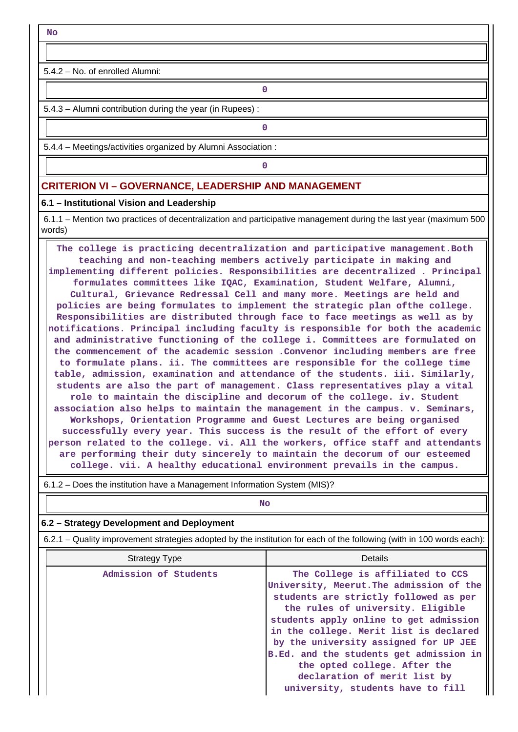**No**

 $\mathbf{1}$ 

5.4.2 – No. of enrolled Alumni:

**0**

5.4.3 – Alumni contribution during the year (in Rupees) :

**0**

5.4.4 – Meetings/activities organized by Alumni Association :

**0**

# **CRITERION VI – GOVERNANCE, LEADERSHIP AND MANAGEMENT**

#### **6.1 – Institutional Vision and Leadership**

 6.1.1 – Mention two practices of decentralization and participative management during the last year (maximum 500 words)

 **The college is practicing decentralization and participative management.Both teaching and non-teaching members actively participate in making and implementing different policies. Responsibilities are decentralized . Principal formulates committees like IQAC, Examination, Student Welfare, Alumni, Cultural, Grievance Redressal Cell and many more. Meetings are held and policies are being formulates to implement the strategic plan ofthe college. Responsibilities are distributed through face to face meetings as well as by notifications. Principal including faculty is responsible for both the academic and administrative functioning of the college i. Committees are formulated on the commencement of the academic session .Convenor including members are free to formulate plans. ii. The committees are responsible for the college time table, admission, examination and attendance of the students. iii. Similarly, students are also the part of management. Class representatives play a vital role to maintain the discipline and decorum of the college. iv. Student association also helps to maintain the management in the campus. v. Seminars, Workshops, Orientation Programme and Guest Lectures are being organised successfully every year. This success is the result of the effort of every person related to the college. vi. All the workers, office staff and attendants are performing their duty sincerely to maintain the decorum of our esteemed college. vii. A healthy educational environment prevails in the campus.**

| <b>No</b>                                                                                                             |                                                                                                                                                                                                                                                                                                                                                                                                                                         |  |  |  |  |  |
|-----------------------------------------------------------------------------------------------------------------------|-----------------------------------------------------------------------------------------------------------------------------------------------------------------------------------------------------------------------------------------------------------------------------------------------------------------------------------------------------------------------------------------------------------------------------------------|--|--|--|--|--|
| 6.2 – Strategy Development and Deployment                                                                             |                                                                                                                                                                                                                                                                                                                                                                                                                                         |  |  |  |  |  |
| 6.2.1 – Quality improvement strategies adopted by the institution for each of the following (with in 100 words each): |                                                                                                                                                                                                                                                                                                                                                                                                                                         |  |  |  |  |  |
| Details<br><b>Strategy Type</b>                                                                                       |                                                                                                                                                                                                                                                                                                                                                                                                                                         |  |  |  |  |  |
| Admission of Students                                                                                                 | The College is affiliated to CCS<br>University, Meerut. The admission of the<br>students are strictly followed as per<br>the rules of university. Eligible<br>students apply online to get admission<br>in the college. Merit list is declared<br>by the university assigned for UP JEE<br>B.Ed. and the students get admission in<br>the opted college. After the<br>declaration of merit list by<br>university, students have to fill |  |  |  |  |  |

6.1.2 – Does the institution have a Management Information System (MIS)?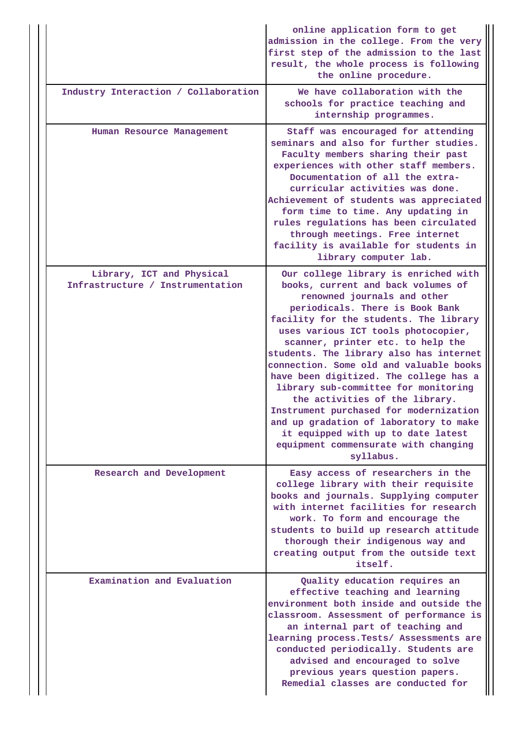|  |                                                               | online application form to get<br>admission in the college. From the very<br>first step of the admission to the last<br>result, the whole process is following<br>the online procedure.                                                                                                                                                                                                                                                                                                                                                                                                                                                                     |
|--|---------------------------------------------------------------|-------------------------------------------------------------------------------------------------------------------------------------------------------------------------------------------------------------------------------------------------------------------------------------------------------------------------------------------------------------------------------------------------------------------------------------------------------------------------------------------------------------------------------------------------------------------------------------------------------------------------------------------------------------|
|  | Industry Interaction / Collaboration                          | We have collaboration with the<br>schools for practice teaching and<br>internship programmes.                                                                                                                                                                                                                                                                                                                                                                                                                                                                                                                                                               |
|  | Human Resource Management                                     | Staff was encouraged for attending<br>seminars and also for further studies.<br>Faculty members sharing their past<br>experiences with other staff members.<br>Documentation of all the extra-<br>curricular activities was done.<br>Achievement of students was appreciated<br>form time to time. Any updating in<br>rules regulations has been circulated<br>through meetings. Free internet<br>facility is available for students in<br>library computer lab.                                                                                                                                                                                            |
|  | Library, ICT and Physical<br>Infrastructure / Instrumentation | Our college library is enriched with<br>books, current and back volumes of<br>renowned journals and other<br>periodicals. There is Book Bank<br>facility for the students. The library<br>uses various ICT tools photocopier,<br>scanner, printer etc. to help the<br>students. The library also has internet<br>connection. Some old and valuable books<br>have been digitized. The college has a<br>library sub-committee for monitoring<br>the activities of the library.<br>Instrument purchased for modernization<br>and up gradation of laboratory to make<br>it equipped with up to date latest<br>equipment commensurate with changing<br>syllabus. |
|  | Research and Development                                      | Easy access of researchers in the<br>college library with their requisite<br>books and journals. Supplying computer<br>with internet facilities for research<br>work. To form and encourage the<br>students to build up research attitude<br>thorough their indigenous way and<br>creating output from the outside text<br>itself.                                                                                                                                                                                                                                                                                                                          |
|  | Examination and Evaluation                                    | Quality education requires an<br>effective teaching and learning<br>environment both inside and outside the<br>classroom. Assessment of performance is<br>an internal part of teaching and<br>learning process. Tests/ Assessments are<br>conducted periodically. Students are<br>advised and encouraged to solve<br>previous years question papers.<br>Remedial classes are conducted for                                                                                                                                                                                                                                                                  |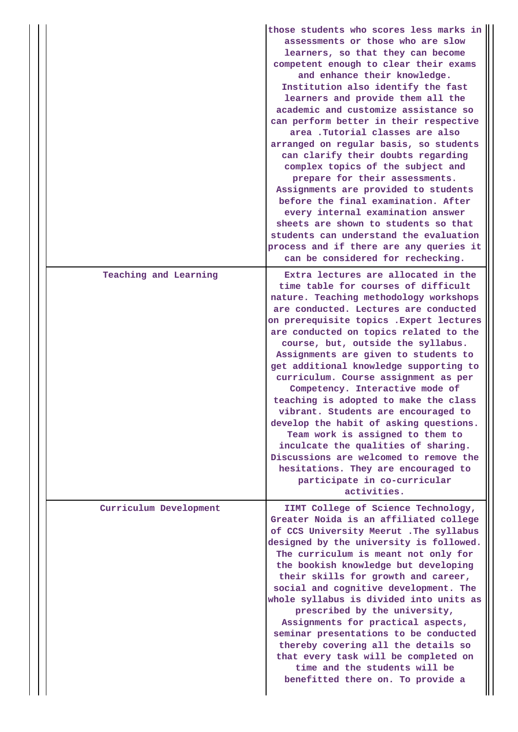|                        | those students who scores less marks in<br>assessments or those who are slow<br>learners, so that they can become<br>competent enough to clear their exams<br>and enhance their knowledge.<br>Institution also identify the fast<br>learners and provide them all the<br>academic and customize assistance so<br>can perform better in their respective<br>area .Tutorial classes are also<br>arranged on regular basis, so students<br>can clarify their doubts regarding<br>complex topics of the subject and<br>prepare for their assessments.<br>Assignments are provided to students<br>before the final examination. After<br>every internal examination answer<br>sheets are shown to students so that<br>students can understand the evaluation<br>process and if there are any queries it<br>can be considered for rechecking. |
|------------------------|-----------------------------------------------------------------------------------------------------------------------------------------------------------------------------------------------------------------------------------------------------------------------------------------------------------------------------------------------------------------------------------------------------------------------------------------------------------------------------------------------------------------------------------------------------------------------------------------------------------------------------------------------------------------------------------------------------------------------------------------------------------------------------------------------------------------------------------------|
| Teaching and Learning  | Extra lectures are allocated in the<br>time table for courses of difficult<br>nature. Teaching methodology workshops<br>are conducted. Lectures are conducted<br>on prerequisite topics . Expert lectures<br>are conducted on topics related to the<br>course, but, outside the syllabus.<br>Assignments are given to students to<br>get additional knowledge supporting to<br>curriculum. Course assignment as per<br>Competency. Interactive mode of<br>teaching is adopted to make the class<br>vibrant. Students are encouraged to<br>develop the habit of asking questions.<br>Team work is assigned to them to<br>inculcate the qualities of sharing.<br>Discussions are welcomed to remove the<br>hesitations. They are encouraged to<br>participate in co-curricular<br>activities.                                             |
| Curriculum Development | IIMT College of Science Technology,<br>Greater Noida is an affiliated college<br>of CCS University Meerut . The syllabus<br>designed by the university is followed.<br>The curriculum is meant not only for<br>the bookish knowledge but developing<br>their skills for growth and career,<br>social and cognitive development. The<br>whole syllabus is divided into units as<br>prescribed by the university,<br>Assignments for practical aspects,<br>seminar presentations to be conducted<br>thereby covering all the details so<br>that every task will be completed on<br>time and the students will be<br>benefitted there on. To provide a                                                                                                                                                                                     |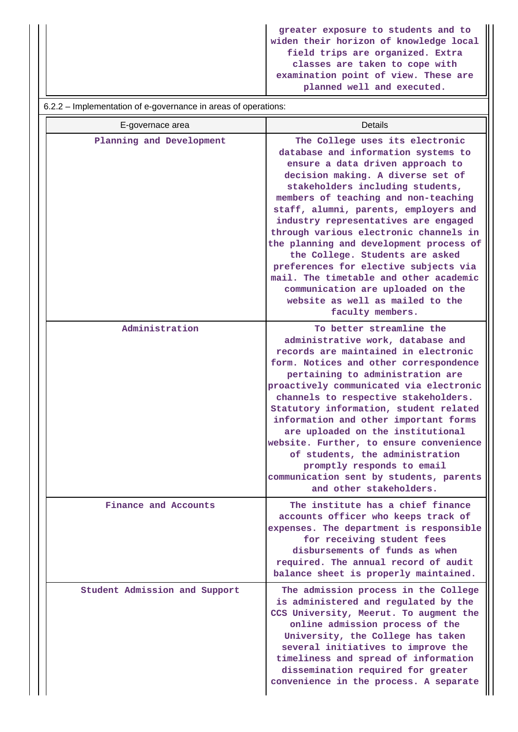**greater exposure to students and to widen their horizon of knowledge local field trips are organized. Extra classes are taken to cope with examination point of view. These are planned well and executed.**

#### 6.2.2 – Implementation of e-governance in areas of operations:

| E-governace area              | <b>Details</b>                                                                                                                                                                                                                                                                                                                                                                                                                                                                                                                                                                                                       |
|-------------------------------|----------------------------------------------------------------------------------------------------------------------------------------------------------------------------------------------------------------------------------------------------------------------------------------------------------------------------------------------------------------------------------------------------------------------------------------------------------------------------------------------------------------------------------------------------------------------------------------------------------------------|
| Planning and Development      | The College uses its electronic<br>database and information systems to<br>ensure a data driven approach to<br>decision making. A diverse set of<br>stakeholders including students,<br>members of teaching and non-teaching<br>staff, alumni, parents, employers and<br>industry representatives are engaged<br>through various electronic channels in<br>the planning and development process of<br>the College. Students are asked<br>preferences for elective subjects via<br>mail. The timetable and other academic<br>communication are uploaded on the<br>website as well as mailed to the<br>faculty members. |
| Administration                | To better streamline the<br>administrative work, database and<br>records are maintained in electronic<br>form. Notices and other correspondence<br>pertaining to administration are<br>proactively communicated via electronic<br>channels to respective stakeholders.<br>Statutory information, student related<br>information and other important forms<br>are uploaded on the institutional<br>website. Further, to ensure convenience<br>of students, the administration<br>promptly responds to email<br>communication sent by students, parents<br>and other stakeholders.                                     |
| Finance and Accounts          | The institute has a chief finance<br>accounts officer who keeps track of<br>expenses. The department is responsible<br>for receiving student fees<br>disbursements of funds as when<br>required. The annual record of audit<br>balance sheet is properly maintained.                                                                                                                                                                                                                                                                                                                                                 |
| Student Admission and Support | The admission process in the College<br>is administered and regulated by the<br>CCS University, Meerut. To augment the<br>online admission process of the<br>University, the College has taken<br>several initiatives to improve the<br>timeliness and spread of information<br>dissemination required for greater<br>convenience in the process. A separate                                                                                                                                                                                                                                                         |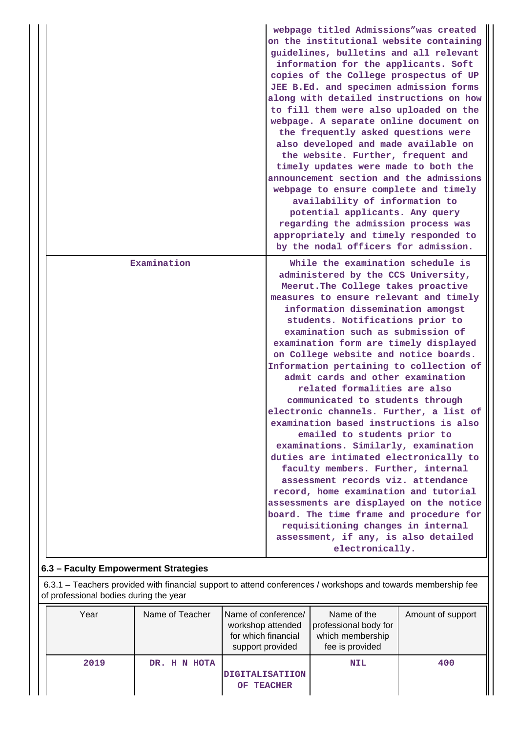|             | webpage titled Admissions"was created<br>on the institutional website containing<br>guidelines, bulletins and all relevant<br>information for the applicants. Soft<br>copies of the College prospectus of UP<br>JEE B.Ed. and specimen admission forms<br>along with detailed instructions on how<br>to fill them were also uploaded on the<br>webpage. A separate online document on<br>the frequently asked questions were<br>also developed and made available on<br>the website. Further, frequent and<br>timely updates were made to both the<br>announcement section and the admissions<br>webpage to ensure complete and timely<br>availability of information to<br>potential applicants. Any query<br>regarding the admission process was<br>appropriately and timely responded to<br>by the nodal officers for admission.                                                                                                                                                                                              |
|-------------|----------------------------------------------------------------------------------------------------------------------------------------------------------------------------------------------------------------------------------------------------------------------------------------------------------------------------------------------------------------------------------------------------------------------------------------------------------------------------------------------------------------------------------------------------------------------------------------------------------------------------------------------------------------------------------------------------------------------------------------------------------------------------------------------------------------------------------------------------------------------------------------------------------------------------------------------------------------------------------------------------------------------------------|
| Examination | While the examination schedule is<br>administered by the CCS University,<br>Meerut. The College takes proactive<br>measures to ensure relevant and timely<br>information dissemination amongst<br>students. Notifications prior to<br>examination such as submission of<br>examination form are timely displayed<br>on College website and notice boards.<br>Information pertaining to collection of<br>admit cards and other examination<br>related formalities are also<br>communicated to students through<br>electronic channels. Further, a list of<br>examination based instructions is also<br>emailed to students prior to<br>examinations. Similarly, examination<br>duties are intimated electronically to<br>faculty members. Further, internal<br>assessment records viz. attendance<br>record, home examination and tutorial<br>assessments are displayed on the notice<br>board. The time frame and procedure for<br>requisitioning changes in internal<br>assessment, if any, is also detailed<br>electronically. |

# **6.3 – Faculty Empowerment Strategies**

 6.3.1 – Teachers provided with financial support to attend conferences / workshops and towards membership fee of professional bodies during the year

| Year | Name of Teacher | Name of conference/<br>workshop attended<br>for which financial<br>support provided | Name of the<br>professional body for<br>which membership<br>fee is provided | Amount of support |
|------|-----------------|-------------------------------------------------------------------------------------|-----------------------------------------------------------------------------|-------------------|
| 2019 | DR. H N HOTA    | <b>DIGITALISATIION</b><br><b>TEACHER</b><br>OF.                                     | <b>NIL</b>                                                                  | 400               |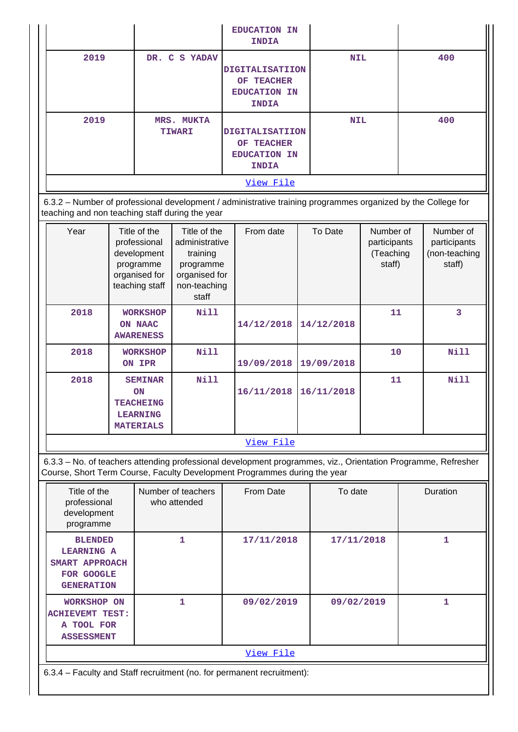|           |                             | <b>EDUCATION IN</b><br><b>INDIA</b>                                         |            |     |  |
|-----------|-----------------------------|-----------------------------------------------------------------------------|------------|-----|--|
| 2019      | DR. C S YADAV               | <b>DIGITALISATIION</b><br>OF TEACHER<br><b>EDUCATION IN</b><br><b>INDIA</b> | <b>NIL</b> | 400 |  |
| 2019      | MRS. MUKTA<br><b>TIWARI</b> | <b>DIGITALISATIION</b><br>OF TEACHER<br><b>EDUCATION IN</b><br><b>INDIA</b> | <b>NIL</b> | 400 |  |
| View File |                             |                                                                             |            |     |  |

 6.3.2 – Number of professional development / administrative training programmes organized by the College for teaching and non teaching staff during the year

| Year      | Title of the<br>professional<br>development<br>programme<br>organised for<br>teaching staff | Title of the<br>administrative<br>training<br>programme<br>organised for<br>non-teaching<br>staff | From date  | To Date    | Number of<br>participants<br>(Teaching<br>staff) | Number of<br>participants<br>(non-teaching<br>staff) |
|-----------|---------------------------------------------------------------------------------------------|---------------------------------------------------------------------------------------------------|------------|------------|--------------------------------------------------|------------------------------------------------------|
| 2018      | <b>WORKSHOP</b><br>ON NAAC<br><b>AWARENESS</b>                                              | Nill                                                                                              | 14/12/2018 | 14/12/2018 | 11                                               | 3                                                    |
| 2018      | <b>WORKSHOP</b><br>ON IPR                                                                   | Nill                                                                                              | 19/09/2018 | 19/09/2018 | 10                                               | Nill                                                 |
| 2018      | <b>SEMINAR</b><br><b>ON</b><br><b>TEACHEING</b><br><b>LEARNING</b><br><b>MATERIALS</b>      | Nill                                                                                              | 16/11/2018 | 16/11/2018 | 11                                               | Nill                                                 |
| View File |                                                                                             |                                                                                                   |            |            |                                                  |                                                      |

 6.3.3 – No. of teachers attending professional development programmes, viz., Orientation Programme, Refresher Course, Short Term Course, Faculty Development Programmes during the year

| Title of the<br>professional<br>development<br>programme                                 | Number of teachers<br>who attended                                     | From Date  | To date    | Duration |  |  |
|------------------------------------------------------------------------------------------|------------------------------------------------------------------------|------------|------------|----------|--|--|
| <b>BLENDED</b><br><b>LEARNING A</b><br>SMART APPROACH<br>FOR GOOGLE<br><b>GENERATION</b> | 1                                                                      | 17/11/2018 | 17/11/2018 |          |  |  |
| <b>WORKSHOP ON</b><br><b>ACHIEVEMT TEST:</b><br>A TOOL FOR<br><b>ASSESSMENT</b>          | 1                                                                      | 09/02/2019 | 09/02/2019 | 1        |  |  |
| View File                                                                                |                                                                        |            |            |          |  |  |
|                                                                                          | 6.3.4 – Faculty and Staff recruitment (no. for permanent recruitment): |            |            |          |  |  |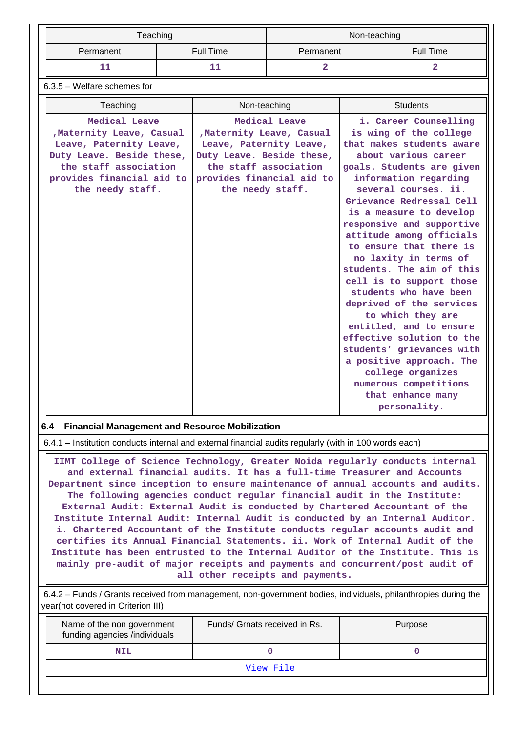| Teaching                      |           | Non-teaching |           |  |  |
|-------------------------------|-----------|--------------|-----------|--|--|
| Permanent                     | Full Time | Permanent    | Full Time |  |  |
|                               |           |              |           |  |  |
| $6.3.5$ – Welfare schemes for |           |              |           |  |  |

| Teaching                                                                                                                                                                                                                                                                                                                                                                                                                                                                                                                                                                                                                                                                                                                                                                                                                                                                                                                                                                                                                                                       | Non-teaching | <b>Students</b> |  |  |  |  |  |
|----------------------------------------------------------------------------------------------------------------------------------------------------------------------------------------------------------------------------------------------------------------------------------------------------------------------------------------------------------------------------------------------------------------------------------------------------------------------------------------------------------------------------------------------------------------------------------------------------------------------------------------------------------------------------------------------------------------------------------------------------------------------------------------------------------------------------------------------------------------------------------------------------------------------------------------------------------------------------------------------------------------------------------------------------------------|--------------|-----------------|--|--|--|--|--|
| Medical Leave<br>Medical Leave<br>i. Career Counselling<br>, Maternity Leave, Casual<br>, Maternity Leave, Casual<br>is wing of the college<br>Leave, Paternity Leave,<br>Leave, Paternity Leave,<br>that makes students aware<br>Duty Leave. Beside these,<br>Duty Leave. Beside these,<br>about various career<br>the staff association<br>the staff association<br>goals. Students are given<br>provides financial aid to<br>provides financial aid to<br>information regarding<br>several courses. ii.<br>the needy staff.<br>the needy staff.<br>Grievance Redressal Cell<br>is a measure to develop<br>responsive and supportive<br>attitude among officials<br>to ensure that there is<br>no laxity in terms of<br>students. The aim of this<br>cell is to support those<br>students who have been<br>deprived of the services<br>to which they are<br>entitled, and to ensure<br>effective solution to the<br>students' grievances with<br>a positive approach. The<br>college organizes<br>numerous competitions<br>that enhance many<br>personality. |              |                 |  |  |  |  |  |
|                                                                                                                                                                                                                                                                                                                                                                                                                                                                                                                                                                                                                                                                                                                                                                                                                                                                                                                                                                                                                                                                |              |                 |  |  |  |  |  |
|                                                                                                                                                                                                                                                                                                                                                                                                                                                                                                                                                                                                                                                                                                                                                                                                                                                                                                                                                                                                                                                                |              |                 |  |  |  |  |  |
| 6.4 - Financial Management and Resource Mobilization                                                                                                                                                                                                                                                                                                                                                                                                                                                                                                                                                                                                                                                                                                                                                                                                                                                                                                                                                                                                           |              |                 |  |  |  |  |  |
| 6.4.1 – Institution conducts internal and external financial audits regularly (with in 100 words each)                                                                                                                                                                                                                                                                                                                                                                                                                                                                                                                                                                                                                                                                                                                                                                                                                                                                                                                                                         |              |                 |  |  |  |  |  |

 **IIMT College of Science Technology, Greater Noida regularly conducts internal and external financial audits. It has a full-time Treasurer and Accounts Department since inception to ensure maintenance of annual accounts and audits. The following agencies conduct regular financial audit in the Institute: External Audit: External Audit is conducted by Chartered Accountant of the Institute Internal Audit: Internal Audit is conducted by an Internal Auditor. i. Chartered Accountant of the Institute conducts regular accounts audit and certifies its Annual Financial Statements. ii. Work of Internal Audit of the Institute has been entrusted to the Internal Auditor of the Institute. This is mainly pre-audit of major receipts and payments and concurrent/post audit of all other receipts and payments.**

## 6.4.2 – Funds / Grants received from management, non-government bodies, individuals, philanthropies during the year(not covered in Criterion III)

| Name of the non government<br>funding agencies /individuals | Funds/ Grnats received in Rs. | Purpose |  |  |  |
|-------------------------------------------------------------|-------------------------------|---------|--|--|--|
| <b>NIL</b>                                                  |                               |         |  |  |  |
| View File                                                   |                               |         |  |  |  |
|                                                             |                               |         |  |  |  |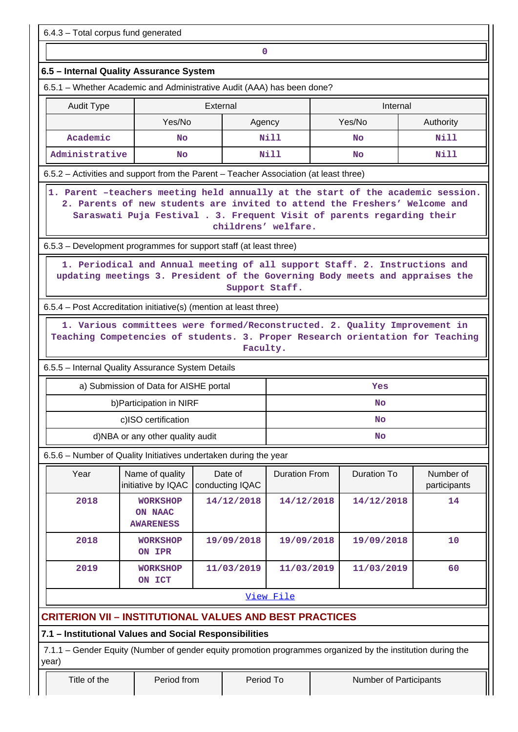6.4.3 – Total corpus fund generated

# **0**

# **6.5 – Internal Quality Assurance System**

6.5.1 – Whether Academic and Administrative Audit (AAA) has been done?

| Audit Type     | External         |      | Internal |           |  |
|----------------|------------------|------|----------|-----------|--|
|                | Yes/No<br>Agency |      | Yes/No   | Authority |  |
| Academic       | <b>No</b>        | Nill | No       | Nill      |  |
| Administrative | <b>No</b>        | Nill | No       | Nill      |  |

6.5.2 – Activities and support from the Parent – Teacher Association (at least three)

 **1. Parent –teachers meeting held annually at the start of the academic session. 2. Parents of new students are invited to attend the Freshers' Welcome and Saraswati Puja Festival . 3. Frequent Visit of parents regarding their childrens' welfare.**

6.5.3 – Development programmes for support staff (at least three)

 **1. Periodical and Annual meeting of all support Staff. 2. Instructions and updating meetings 3. President of the Governing Body meets and appraises the Support Staff.**

6.5.4 – Post Accreditation initiative(s) (mention at least three)

 **1. Various committees were formed/Reconstructed. 2. Quality Improvement in Teaching Competencies of students. 3. Proper Research orientation for Teaching Faculty.**

6.5.5 – Internal Quality Assurance System Details

| a) Submission of Data for AISHE portal | Yes |
|----------------------------------------|-----|
| b) Participation in NIRF               | No  |
| c)ISO certification                    | No  |
| d)NBA or any other quality audit       | No  |

6.5.6 – Number of Quality Initiatives undertaken during the year

| Year | Name of quality<br>initiative by IQAC          | Date of<br>conducting IQAC | Duration From | Duration To | Number of<br>participants |
|------|------------------------------------------------|----------------------------|---------------|-------------|---------------------------|
| 2018 | <b>WORKSHOP</b><br>ON NAAC<br><b>AWARENESS</b> | 14/12/2018                 | 14/12/2018    | 14/12/2018  | 14                        |
| 2018 | <b>WORKSHOP</b><br>ON IPR                      | 19/09/2018                 | 19/09/2018    | 19/09/2018  | 10                        |
| 2019 | <b>WORKSHOP</b><br>ON ICT                      | 11/03/2019                 | 11/03/2019    | 11/03/2019  | 60                        |

[View File](https://assessmentonline.naac.gov.in/public/Postacc/Quality_Initiatives_B/4536_Quality_Initiatives_B_1583757007.xlsx)

# **CRITERION VII – INSTITUTIONAL VALUES AND BEST PRACTICES**

**7.1 – Institutional Values and Social Responsibilities**

 7.1.1 – Gender Equity (Number of gender equity promotion programmes organized by the institution during the year)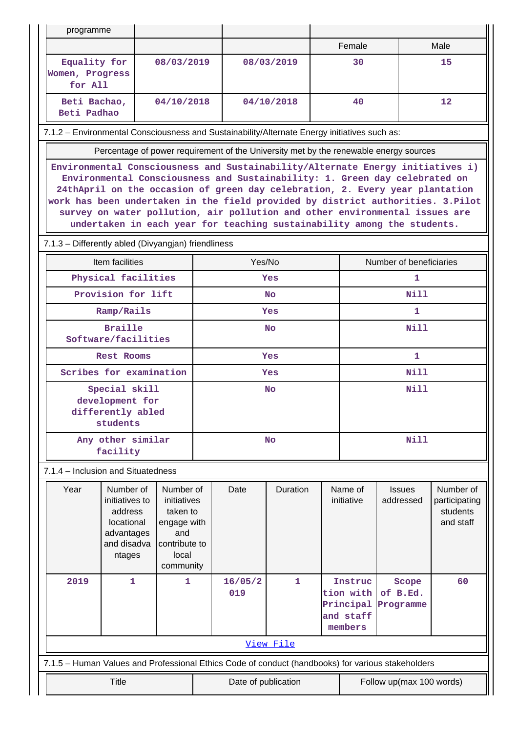| programme                                                                                                                                                                                                                                                                                                                                                                                                                                                                                  |                                                                                             |                                                                                                   |                     |                |            |                          |                                                           |                                                                                       |                                                     |  |
|--------------------------------------------------------------------------------------------------------------------------------------------------------------------------------------------------------------------------------------------------------------------------------------------------------------------------------------------------------------------------------------------------------------------------------------------------------------------------------------------|---------------------------------------------------------------------------------------------|---------------------------------------------------------------------------------------------------|---------------------|----------------|------------|--------------------------|-----------------------------------------------------------|---------------------------------------------------------------------------------------|-----------------------------------------------------|--|
|                                                                                                                                                                                                                                                                                                                                                                                                                                                                                            |                                                                                             |                                                                                                   |                     |                |            |                          | Female                                                    |                                                                                       | Male                                                |  |
| Equality for<br>Women, Progress<br>for All                                                                                                                                                                                                                                                                                                                                                                                                                                                 |                                                                                             |                                                                                                   | 08/03/2019          |                | 08/03/2019 |                          | 30                                                        |                                                                                       | 15                                                  |  |
| Beti Bachao,<br>Beti Padhao                                                                                                                                                                                                                                                                                                                                                                                                                                                                |                                                                                             | 04/10/2018                                                                                        |                     |                | 04/10/2018 | 40                       |                                                           |                                                                                       | $12 \overline{ }$                                   |  |
| 7.1.2 - Environmental Consciousness and Sustainability/Alternate Energy initiatives such as:                                                                                                                                                                                                                                                                                                                                                                                               |                                                                                             |                                                                                                   |                     |                |            |                          |                                                           |                                                                                       |                                                     |  |
|                                                                                                                                                                                                                                                                                                                                                                                                                                                                                            |                                                                                             |                                                                                                   |                     |                |            |                          |                                                           | Percentage of power requirement of the University met by the renewable energy sources |                                                     |  |
| Environmental Consciousness and Sustainability/Alternate Energy initiatives i)<br>Environmental Consciousness and Sustainability: 1. Green day celebrated on<br>24thApril on the occasion of green day celebration, 2. Every year plantation<br>work has been undertaken in the field provided by district authorities. 3. Pilot<br>survey on water pollution, air pollution and other environmental issues are<br>undertaken in each year for teaching sustainability among the students. |                                                                                             |                                                                                                   |                     |                |            |                          |                                                           |                                                                                       |                                                     |  |
| 7.1.3 - Differently abled (Divyangjan) friendliness                                                                                                                                                                                                                                                                                                                                                                                                                                        |                                                                                             |                                                                                                   |                     |                |            |                          |                                                           |                                                                                       |                                                     |  |
|                                                                                                                                                                                                                                                                                                                                                                                                                                                                                            | Item facilities                                                                             |                                                                                                   |                     | Yes/No         |            |                          |                                                           | Number of beneficiaries                                                               |                                                     |  |
|                                                                                                                                                                                                                                                                                                                                                                                                                                                                                            | Physical facilities                                                                         |                                                                                                   |                     |                | Yes        |                          |                                                           | 1                                                                                     |                                                     |  |
|                                                                                                                                                                                                                                                                                                                                                                                                                                                                                            | Provision for lift                                                                          |                                                                                                   |                     |                | No.        |                          |                                                           | Nill                                                                                  |                                                     |  |
|                                                                                                                                                                                                                                                                                                                                                                                                                                                                                            | Ramp/Rails                                                                                  |                                                                                                   |                     |                | <b>Yes</b> |                          |                                                           | $\mathbf{1}$                                                                          |                                                     |  |
|                                                                                                                                                                                                                                                                                                                                                                                                                                                                                            | <b>Braille</b><br>Software/facilities                                                       |                                                                                                   | No                  |                |            |                          | Nill                                                      |                                                                                       |                                                     |  |
|                                                                                                                                                                                                                                                                                                                                                                                                                                                                                            | <b>Rest Rooms</b>                                                                           |                                                                                                   |                     | <b>Yes</b>     |            |                          | 1                                                         |                                                                                       |                                                     |  |
|                                                                                                                                                                                                                                                                                                                                                                                                                                                                                            | Scribes for examination                                                                     |                                                                                                   |                     | <b>Yes</b>     |            |                          | <b>Nill</b>                                               |                                                                                       |                                                     |  |
|                                                                                                                                                                                                                                                                                                                                                                                                                                                                                            | Special skill<br>development for<br>differently abled<br>students                           |                                                                                                   | Nill<br>No          |                |            |                          |                                                           |                                                                                       |                                                     |  |
|                                                                                                                                                                                                                                                                                                                                                                                                                                                                                            | Any other similar<br>facility                                                               |                                                                                                   | <b>No</b>           |                |            |                          | <b>Nill</b>                                               |                                                                                       |                                                     |  |
| 7.1.4 - Inclusion and Situatedness                                                                                                                                                                                                                                                                                                                                                                                                                                                         |                                                                                             |                                                                                                   |                     |                |            |                          |                                                           |                                                                                       |                                                     |  |
| Year                                                                                                                                                                                                                                                                                                                                                                                                                                                                                       | Number of<br>initiatives to<br>address<br>locational<br>advantages<br>and disadva<br>ntages | Number of<br>initiatives<br>taken to<br>engage with<br>and<br>contribute to<br>local<br>community |                     | Date           | Duration   |                          | Name of<br>initiative                                     | <b>Issues</b><br>addressed                                                            | Number of<br>participating<br>students<br>and staff |  |
| 2019                                                                                                                                                                                                                                                                                                                                                                                                                                                                                       | 1                                                                                           | 1                                                                                                 |                     | 16/05/2<br>019 | 1          |                          | Instruc<br>tion with<br>Principal<br>and staff<br>members | Scope<br>of B.Ed.<br>Programme                                                        | 60                                                  |  |
| View File                                                                                                                                                                                                                                                                                                                                                                                                                                                                                  |                                                                                             |                                                                                                   |                     |                |            |                          |                                                           |                                                                                       |                                                     |  |
| 7.1.5 - Human Values and Professional Ethics Code of conduct (handbooks) for various stakeholders                                                                                                                                                                                                                                                                                                                                                                                          |                                                                                             |                                                                                                   |                     |                |            |                          |                                                           |                                                                                       |                                                     |  |
| <b>Title</b>                                                                                                                                                                                                                                                                                                                                                                                                                                                                               |                                                                                             |                                                                                                   | Date of publication |                |            | Follow up(max 100 words) |                                                           |                                                                                       |                                                     |  |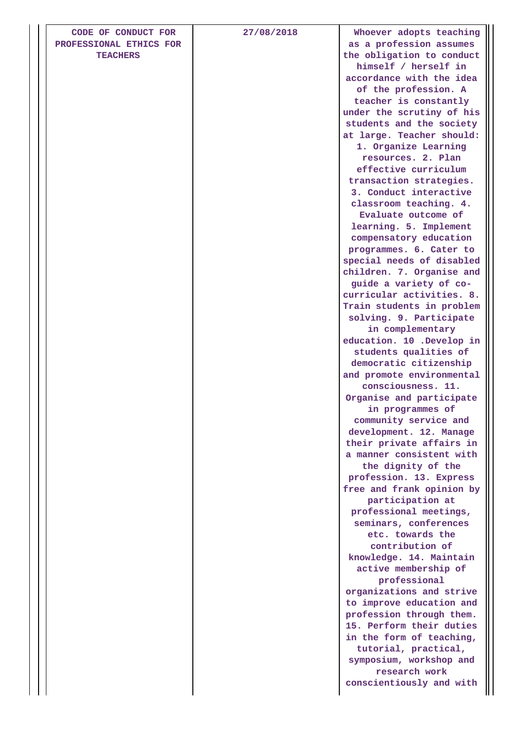| CODE OF CONDUCT FOR<br>PROFESSIONAL ETHICS FOR | 27/08/2018 | Whoever adopts teaching<br>as a profession assumes   |
|------------------------------------------------|------------|------------------------------------------------------|
| <b>TEACHERS</b>                                |            | the obligation to conduct                            |
|                                                |            | himself / herself in                                 |
|                                                |            | accordance with the idea                             |
|                                                |            | of the profession. A                                 |
|                                                |            | teacher is constantly                                |
|                                                |            | under the scrutiny of his                            |
|                                                |            | students and the society                             |
|                                                |            | at large. Teacher should:                            |
|                                                |            | 1. Organize Learning                                 |
|                                                |            | resources. 2. Plan                                   |
|                                                |            | effective curriculum                                 |
|                                                |            | transaction strategies.                              |
|                                                |            | 3. Conduct interactive                               |
|                                                |            | classroom teaching. 4.                               |
|                                                |            | Evaluate outcome of                                  |
|                                                |            | learning. 5. Implement                               |
|                                                |            | compensatory education                               |
|                                                |            | programmes. 6. Cater to                              |
|                                                |            | special needs of disabled                            |
|                                                |            | children. 7. Organise and                            |
|                                                |            | guide a variety of co-<br>curricular activities. 8.  |
|                                                |            | Train students in problem                            |
|                                                |            | solving. 9. Participate                              |
|                                                |            | in complementary                                     |
|                                                |            | education. 10 .Develop in                            |
|                                                |            | students qualities of                                |
|                                                |            | democratic citizenship                               |
|                                                |            | and promote environmental                            |
|                                                |            | consciousness. 11.                                   |
|                                                |            | Organise and participate                             |
|                                                |            | in programmes of                                     |
|                                                |            | community service and                                |
|                                                |            | development. 12. Manage                              |
|                                                |            | their private affairs in                             |
|                                                |            | a manner consistent with                             |
|                                                |            | the dignity of the                                   |
|                                                |            | profession. 13. Express<br>free and frank opinion by |
|                                                |            | participation at                                     |
|                                                |            | professional meetings,                               |
|                                                |            | seminars, conferences                                |
|                                                |            | etc. towards the                                     |
|                                                |            | contribution of                                      |
|                                                |            | knowledge. 14. Maintain                              |
|                                                |            | active membership of                                 |
|                                                |            | professional                                         |
|                                                |            | organizations and strive                             |
|                                                |            | to improve education and                             |
|                                                |            | profession through them.                             |
|                                                |            | 15. Perform their duties                             |
|                                                |            | in the form of teaching,                             |
|                                                |            | tutorial, practical,                                 |
|                                                |            | symposium, workshop and<br>research work             |
|                                                |            | conscientiously and with                             |
|                                                |            |                                                      |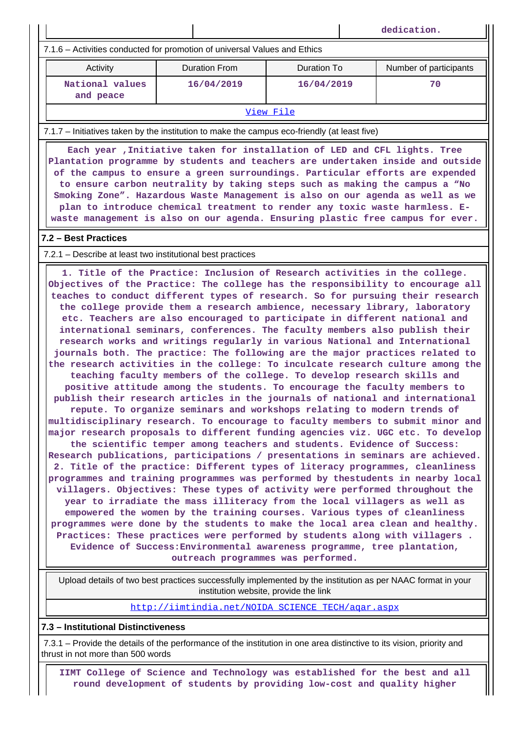**dedication.** 7.1.6 – Activities conducted for promotion of universal Values and Ethics Activity **Duration From** Duration To Number of participants  **National values and peace 16/04/2019 16/04/2019 70** [View File](https://assessmentonline.naac.gov.in/public/Postacc/promotion_activities/4536_promotion_activities_1583906512.xlsx) 7.1.7 – Initiatives taken by the institution to make the campus eco-friendly (at least five) **Each year ,Initiative taken for installation of LED and CFL lights. Tree Plantation programme by students and teachers are undertaken inside and outside of the campus to ensure a green surroundings. Particular efforts are expended to ensure carbon neutrality by taking steps such as making the campus a "No Smoking Zone". Hazardous Waste Management is also on our agenda as well as we plan to introduce chemical treatment to render any toxic waste harmless. Ewaste management is also on our agenda. Ensuring plastic free campus for ever. 7.2 – Best Practices** 7.2.1 – Describe at least two institutional best practices **1. Title of the Practice: Inclusion of Research activities in the college. Objectives of the Practice: The college has the responsibility to encourage all teaches to conduct different types of research. So for pursuing their research the college provide them a research ambience, necessary library, laboratory etc. Teachers are also encouraged to participate in different national and international seminars, conferences. The faculty members also publish their research works and writings regularly in various National and International journals both. The practice: The following are the major practices related to the research activities in the college: To inculcate research culture among the teaching faculty members of the college. To develop research skills and positive attitude among the students. To encourage the faculty members to publish their research articles in the journals of national and international repute. To organize seminars and workshops relating to modern trends of multidisciplinary research. To encourage to faculty members to submit minor and major research proposals to different funding agencies viz. UGC etc. To develop the scientific temper among teachers and students. Evidence of Success: Research publications, participations / presentations in seminars are achieved. 2. Title of the practice: Different types of literacy programmes, cleanliness programmes and training programmes was performed by thestudents in nearby local villagers. Objectives: These types of activity were performed throughout the year to irradiate the mass illiteracy from the local villagers as well as empowered the women by the training courses. Various types of cleanliness programmes were done by the students to make the local area clean and healthy. Practices: These practices were performed by students along with villagers . Evidence of Success:Environmental awareness programme, tree plantation, outreach programmes was performed.**

 Upload details of two best practices successfully implemented by the institution as per NAAC format in your institution website, provide the link

[http://iimtindia.net/NOIDA\\_SCIENCE\\_TECH/aqar.aspx](http://iimtindia.net/NOIDA_SCIENCE_TECH/aqar.aspx)

**7.3 – Institutional Distinctiveness**

 7.3.1 – Provide the details of the performance of the institution in one area distinctive to its vision, priority and thrust in not more than 500 words

 **IIMT College of Science and Technology was established for the best and all round development of students by providing low-cost and quality higher**